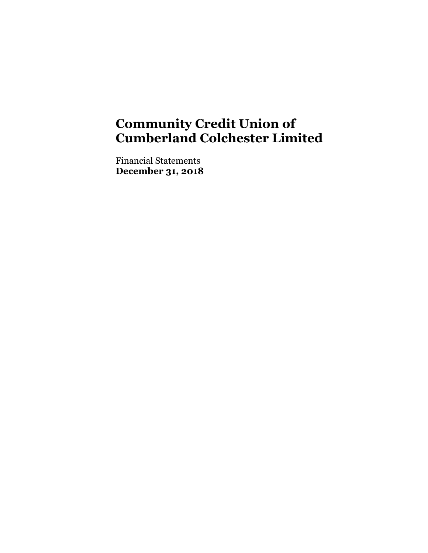Financial Statements **December 31, 2018**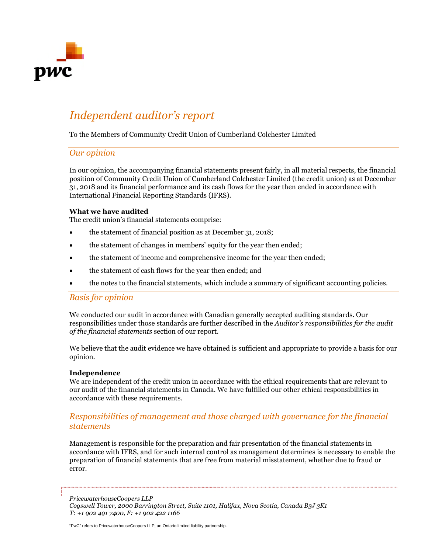

# *Independent auditor's report*

To the Members of Community Credit Union of Cumberland Colchester Limited

### *Our opinion*

In our opinion, the accompanying financial statements present fairly, in all material respects, the financial position of Community Credit Union of Cumberland Colchester Limited (the credit union) as at December 31, 2018 and its financial performance and its cash flows for the year then ended in accordance with International Financial Reporting Standards (IFRS).

### **What we have audited**

The credit union's financial statements comprise:

- the statement of financial position as at December 31, 2018;
- the statement of changes in members' equity for the year then ended;
- the statement of income and comprehensive income for the year then ended;
- the statement of cash flows for the year then ended; and
- the notes to the financial statements, which include a summary of significant accounting policies.

### *Basis for opinion*

We conducted our audit in accordance with Canadian generally accepted auditing standards. Our responsibilities under those standards are further described in the *Auditor's responsibilities for the audit of the financial statements* section of our report.

We believe that the audit evidence we have obtained is sufficient and appropriate to provide a basis for our opinion.

#### **Independence**

We are independent of the credit union in accordance with the ethical requirements that are relevant to our audit of the financial statements in Canada. We have fulfilled our other ethical responsibilities in accordance with these requirements.

### *Responsibilities of management and those charged with governance for the financial statements*

Management is responsible for the preparation and fair presentation of the financial statements in accordance with IFRS, and for such internal control as management determines is necessary to enable the preparation of financial statements that are free from material misstatement, whether due to fraud or error.

*PricewaterhouseCoopers LLP Cogswell Tower, 2000 Barrington Street, Suite 1101, Halifax, Nova Scotia, Canada B3J 3K1 T: +1 902 491 7400, F: +1 902 422 1166*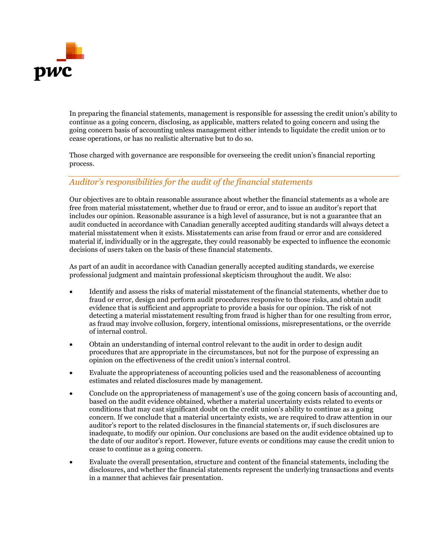

In preparing the financial statements, management is responsible for assessing the credit union's ability to continue as a going concern, disclosing, as applicable, matters related to going concern and using the going concern basis of accounting unless management either intends to liquidate the credit union or to cease operations, or has no realistic alternative but to do so.

Those charged with governance are responsible for overseeing the credit union's financial reporting process.

### *Auditor's responsibilities for the audit of the financial statements*

Our objectives are to obtain reasonable assurance about whether the financial statements as a whole are free from material misstatement, whether due to fraud or error, and to issue an auditor's report that includes our opinion. Reasonable assurance is a high level of assurance, but is not a guarantee that an audit conducted in accordance with Canadian generally accepted auditing standards will always detect a material misstatement when it exists. Misstatements can arise from fraud or error and are considered material if, individually or in the aggregate, they could reasonably be expected to influence the economic decisions of users taken on the basis of these financial statements.

As part of an audit in accordance with Canadian generally accepted auditing standards, we exercise professional judgment and maintain professional skepticism throughout the audit. We also:

- Identify and assess the risks of material misstatement of the financial statements, whether due to fraud or error, design and perform audit procedures responsive to those risks, and obtain audit evidence that is sufficient and appropriate to provide a basis for our opinion. The risk of not detecting a material misstatement resulting from fraud is higher than for one resulting from error, as fraud may involve collusion, forgery, intentional omissions, misrepresentations, or the override of internal control.
- Obtain an understanding of internal control relevant to the audit in order to design audit procedures that are appropriate in the circumstances, but not for the purpose of expressing an opinion on the effectiveness of the credit union's internal control.
- Evaluate the appropriateness of accounting policies used and the reasonableness of accounting estimates and related disclosures made by management.
- Conclude on the appropriateness of management's use of the going concern basis of accounting and, based on the audit evidence obtained, whether a material uncertainty exists related to events or conditions that may cast significant doubt on the credit union's ability to continue as a going concern. If we conclude that a material uncertainty exists, we are required to draw attention in our auditor's report to the related disclosures in the financial statements or, if such disclosures are inadequate, to modify our opinion. Our conclusions are based on the audit evidence obtained up to the date of our auditor's report. However, future events or conditions may cause the credit union to cease to continue as a going concern.
- Evaluate the overall presentation, structure and content of the financial statements, including the disclosures, and whether the financial statements represent the underlying transactions and events in a manner that achieves fair presentation.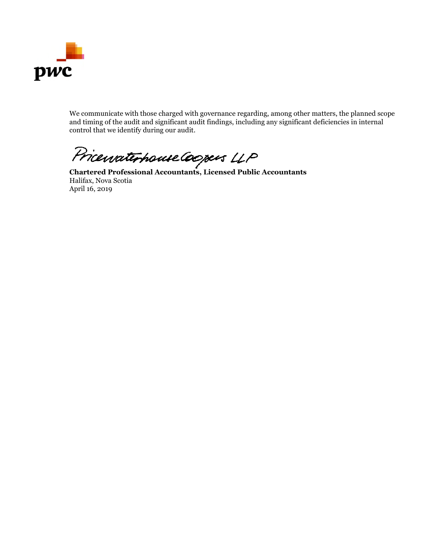

We communicate with those charged with governance regarding, among other matters, the planned scope and timing of the audit and significant audit findings, including any significant deficiencies in internal control that we identify during our audit.

Pricentaterhouse Coopers  $U$ P<br>Chartered Professional Accountants, Licensed Public Accountants

Halifax, Nova Scotia April 16, 2019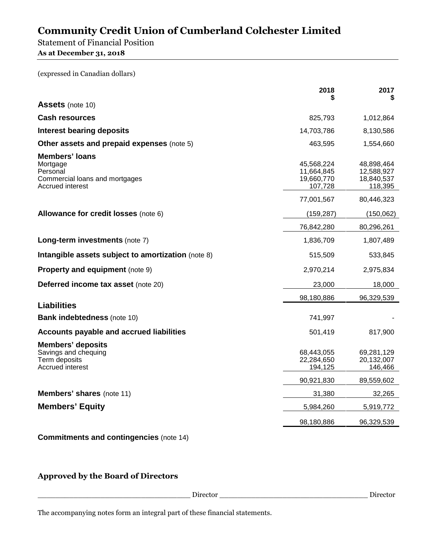Statement of Financial Position

### **As at December 31, 2018**

(expressed in Canadian dollars)

|                                                                                                     | 2018                                              | 2017<br>\$                                        |
|-----------------------------------------------------------------------------------------------------|---------------------------------------------------|---------------------------------------------------|
| <b>Assets</b> (note 10)                                                                             |                                                   |                                                   |
| <b>Cash resources</b>                                                                               | 825,793                                           | 1,012,864                                         |
| <b>Interest bearing deposits</b>                                                                    | 14,703,786                                        | 8,130,586                                         |
| Other assets and prepaid expenses (note 5)                                                          | 463,595                                           | 1,554,660                                         |
| <b>Members' loans</b><br>Mortgage<br>Personal<br>Commercial loans and mortgages<br>Accrued interest | 45,568,224<br>11,664,845<br>19,660,770<br>107,728 | 48,898,464<br>12,588,927<br>18,840,537<br>118,395 |
|                                                                                                     | 77,001,567                                        | 80,446,323                                        |
| Allowance for credit losses (note 6)                                                                | (159, 287)                                        | (150,062)                                         |
|                                                                                                     | 76,842,280                                        | 80,296,261                                        |
| Long-term investments (note 7)                                                                      | 1,836,709                                         | 1,807,489                                         |
| Intangible assets subject to amortization (note 8)                                                  | 515,509                                           | 533,845                                           |
| <b>Property and equipment (note 9)</b>                                                              | 2,970,214                                         | 2,975,834                                         |
| Deferred income tax asset (note 20)                                                                 | 23,000                                            | 18,000                                            |
|                                                                                                     | 98,180,886                                        | 96,329,539                                        |
| <b>Liabilities</b><br><b>Bank indebtedness (note 10)</b>                                            | 741,997                                           |                                                   |
| <b>Accounts payable and accrued liabilities</b>                                                     | 501,419                                           | 817,900                                           |
| <b>Members' deposits</b><br>Savings and chequing<br>Term deposits<br>Accrued interest               | 68,443,055<br>22,284,650<br>194,125               | 69,281,129<br>20,132,007<br>146,466               |
|                                                                                                     | 90,921,830                                        | 89,559,602                                        |
| Members' shares (note 11)                                                                           | 31,380                                            | 32,265                                            |
| <b>Members' Equity</b>                                                                              | 5,984,260                                         | 5,919,772                                         |
|                                                                                                     | 98,180,886                                        | 96,329,539                                        |
|                                                                                                     |                                                   |                                                   |

**Commitments and contingencies** (note 14)

### **Approved by the Board of Directors**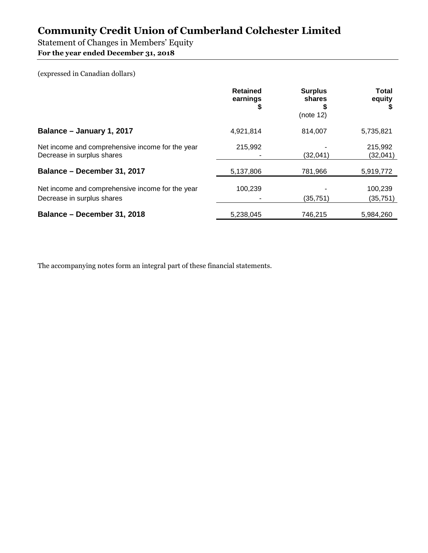Statement of Changes in Members' Equity

**For the year ended December 31, 2018** 

(expressed in Canadian dollars)

|                                                                                | <b>Retained</b><br>earnings | <b>Surplus</b><br>shares<br>(note 12) | Total<br>equity      |
|--------------------------------------------------------------------------------|-----------------------------|---------------------------------------|----------------------|
| Balance - January 1, 2017                                                      | 4,921,814                   | 814,007                               | 5,735,821            |
| Net income and comprehensive income for the year<br>Decrease in surplus shares | 215,992                     | (32,041)                              | 215,992<br>(32,041)  |
| Balance - December 31, 2017                                                    | 5,137,806                   | 781,966                               | 5,919,772            |
| Net income and comprehensive income for the year<br>Decrease in surplus shares | 100,239                     | (35, 751)                             | 100,239<br>(35, 751) |
| Balance - December 31, 2018                                                    | 5,238,045                   | 746,215                               | 5,984,260            |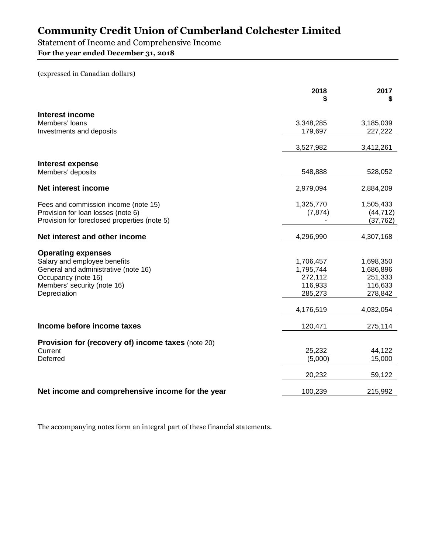Statement of Income and Comprehensive Income

**For the year ended December 31, 2018** 

(expressed in Canadian dollars)

|                                                           | 2018      | 2017<br>S |
|-----------------------------------------------------------|-----------|-----------|
| Interest income                                           |           |           |
| Members' loans                                            | 3,348,285 | 3,185,039 |
| Investments and deposits                                  | 179,697   | 227,222   |
|                                                           | 3,527,982 | 3,412,261 |
| <b>Interest expense</b>                                   |           |           |
| Members' deposits                                         | 548,888   | 528,052   |
| Net interest income                                       | 2,979,094 | 2,884,209 |
| Fees and commission income (note 15)                      | 1,325,770 | 1,505,433 |
| Provision for loan losses (note 6)                        | (7, 874)  | (44, 712) |
| Provision for foreclosed properties (note 5)              |           | (37, 762) |
| Net interest and other income                             | 4,296,990 | 4,307,168 |
| <b>Operating expenses</b>                                 |           |           |
| Salary and employee benefits                              | 1,706,457 | 1,698,350 |
| General and administrative (note 16)                      | 1,795,744 | 1,686,896 |
| Occupancy (note 16)                                       | 272,112   | 251,333   |
| Members' security (note 16)                               | 116,933   | 116,633   |
| Depreciation                                              | 285,273   | 278,842   |
|                                                           | 4,176,519 | 4,032,054 |
| Income before income taxes                                | 120,471   | 275,114   |
| <b>Provision for (recovery of) income taxes (note 20)</b> |           |           |
| Current                                                   | 25,232    | 44,122    |
| Deferred                                                  | (5,000)   | 15,000    |
|                                                           | 20,232    | 59,122    |
| Net income and comprehensive income for the year          | 100,239   | 215,992   |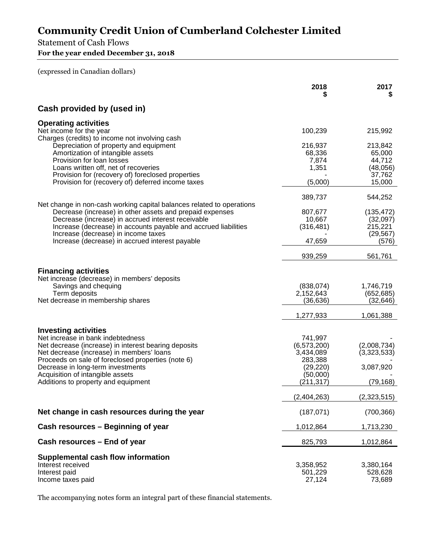### Statement of Cash Flows

### **For the year ended December 31, 2018**

(expressed in Canadian dollars)

|                                                                                                                                                                                                                                                                                                                                             | 2018                                                                                 | 2017<br>S                                                   |
|---------------------------------------------------------------------------------------------------------------------------------------------------------------------------------------------------------------------------------------------------------------------------------------------------------------------------------------------|--------------------------------------------------------------------------------------|-------------------------------------------------------------|
| Cash provided by (used in)                                                                                                                                                                                                                                                                                                                  |                                                                                      |                                                             |
| <b>Operating activities</b><br>Net income for the year                                                                                                                                                                                                                                                                                      | 100,239                                                                              | 215,992                                                     |
| Charges (credits) to income not involving cash<br>Depreciation of property and equipment<br>Amortization of intangible assets<br>Provision for loan losses<br>Loans written off, net of recoveries<br>Provision for (recovery of) foreclosed properties<br>Provision for (recovery of) deferred income taxes                                | 216,937<br>68,336<br>7,874<br>1,351<br>(5,000)                                       | 213,842<br>65,000<br>44,712<br>(48,056)<br>37,762<br>15,000 |
|                                                                                                                                                                                                                                                                                                                                             | 389,737                                                                              | 544,252                                                     |
| Net change in non-cash working capital balances related to operations<br>Decrease (increase) in other assets and prepaid expenses<br>Decrease (increase) in accrued interest receivable<br>Increase (decrease) in accounts payable and accrued liabilities<br>Increase (decrease) in income taxes                                           | 807,677<br>10,667<br>(316, 481)                                                      | (135, 472)<br>(32,097)<br>215,221<br>(29, 567)              |
| Increase (decrease) in accrued interest payable                                                                                                                                                                                                                                                                                             | 47,659                                                                               | (576)                                                       |
|                                                                                                                                                                                                                                                                                                                                             | 939,259                                                                              | 561,761                                                     |
| <b>Financing activities</b><br>Net increase (decrease) in members' deposits<br>Savings and chequing<br>Term deposits<br>Net decrease in membership shares                                                                                                                                                                                   | (838,074)<br>2,152,643<br>(36, 636)                                                  | 1,746,719<br>(652, 685)<br>(32, 646)                        |
|                                                                                                                                                                                                                                                                                                                                             | 1,277,933                                                                            | 1,061,388                                                   |
| <b>Investing activities</b><br>Net increase in bank indebtedness<br>Net decrease (increase) in interest bearing deposits<br>Net decrease (increase) in members' loans<br>Proceeds on sale of foreclosed properties (note 6)<br>Decrease in long-term investments<br>Acquisition of intangible assets<br>Additions to property and equipment | 741,997<br>(6,573,200)<br>3,434,089<br>283,388<br>(29, 220)<br>(50,000)<br>(211,317) | (2,008,734)<br>(3,323,533)<br>3,087,920<br>(79, 168)        |
|                                                                                                                                                                                                                                                                                                                                             | (2,404,263)                                                                          | (2,323,515)                                                 |
| Net change in cash resources during the year                                                                                                                                                                                                                                                                                                | (187, 071)                                                                           | (700, 366)                                                  |
| Cash resources - Beginning of year                                                                                                                                                                                                                                                                                                          | 1,012,864                                                                            | 1,713,230                                                   |
| Cash resources - End of year                                                                                                                                                                                                                                                                                                                | 825,793                                                                              | 1,012,864                                                   |
| Supplemental cash flow information<br>Interest received<br>Interest paid<br>Income taxes paid                                                                                                                                                                                                                                               | 3,358,952<br>501,229<br>27,124                                                       | 3,380,164<br>528,628<br>73,689                              |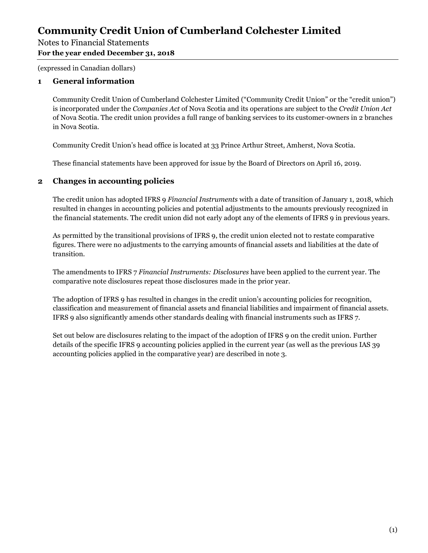### Notes to Financial Statements **For the year ended December 31, 2018**

(expressed in Canadian dollars)

### **1 General information**

Community Credit Union of Cumberland Colchester Limited ("Community Credit Union" or the "credit union") is incorporated under the *Companies Act* of Nova Scotia and its operations are subject to the *Credit Union Act* of Nova Scotia. The credit union provides a full range of banking services to its customer-owners in 2 branches in Nova Scotia.

Community Credit Union's head office is located at 33 Prince Arthur Street, Amherst, Nova Scotia.

These financial statements have been approved for issue by the Board of Directors on April 16, 2019.

### **2 Changes in accounting policies**

The credit union has adopted IFRS 9 *Financial Instruments* with a date of transition of January 1, 2018, which resulted in changes in accounting policies and potential adjustments to the amounts previously recognized in the financial statements. The credit union did not early adopt any of the elements of IFRS 9 in previous years.

As permitted by the transitional provisions of IFRS 9, the credit union elected not to restate comparative figures. There were no adjustments to the carrying amounts of financial assets and liabilities at the date of transition.

The amendments to IFRS 7 *Financial Instruments: Disclosures* have been applied to the current year. The comparative note disclosures repeat those disclosures made in the prior year.

The adoption of IFRS 9 has resulted in changes in the credit union's accounting policies for recognition, classification and measurement of financial assets and financial liabilities and impairment of financial assets. IFRS 9 also significantly amends other standards dealing with financial instruments such as IFRS 7.

Set out below are disclosures relating to the impact of the adoption of IFRS 9 on the credit union. Further details of the specific IFRS 9 accounting policies applied in the current year (as well as the previous IAS 39 accounting policies applied in the comparative year) are described in note 3.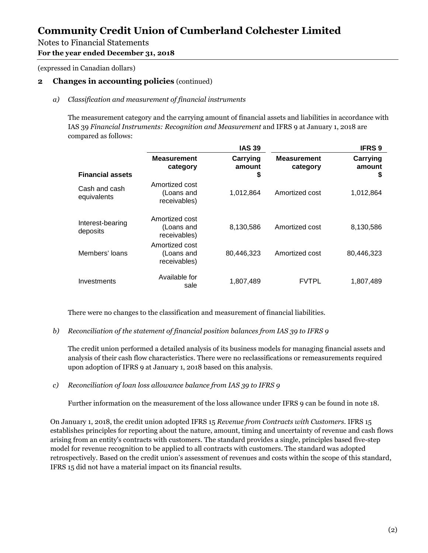### Notes to Financial Statements

**For the year ended December 31, 2018** 

(expressed in Canadian dollars)

### **2 Changes in accounting policies** (continued)

### *a) Classification and measurement of financial instruments*

The measurement category and the carrying amount of financial assets and liabilities in accordance with IAS 39 *Financial Instruments: Recognition and Measurement* and IFRS 9 at January 1, 2018 are compared as follows:

|                              |                                              | <b>IAS 39</b>            |                                | <b>IFRS9</b>            |
|------------------------------|----------------------------------------------|--------------------------|--------------------------------|-------------------------|
| <b>Financial assets</b>      | <b>Measurement</b><br>category               | Carrying<br>amount<br>\$ | <b>Measurement</b><br>category | Carrying<br>amount<br>S |
| Cash and cash<br>equivalents | Amortized cost<br>(Loans and<br>receivables) | 1,012,864                | Amortized cost                 | 1,012,864               |
| Interest-bearing<br>deposits | Amortized cost<br>(Loans and<br>receivables) | 8,130,586                | Amortized cost                 | 8,130,586               |
| Members' loans               | Amortized cost<br>(Loans and<br>receivables) | 80,446,323               | Amortized cost                 | 80,446,323              |
| Investments                  | Available for<br>sale                        | 1,807,489                | <b>FVTPL</b>                   | 1,807,489               |

There were no changes to the classification and measurement of financial liabilities.

### *b) Reconciliation of the statement of financial position balances from IAS 39 to IFRS 9*

The credit union performed a detailed analysis of its business models for managing financial assets and analysis of their cash flow characteristics. There were no reclassifications or remeasurements required upon adoption of IFRS 9 at January 1, 2018 based on this analysis.

### *c) Reconciliation of loan loss allowance balance from IAS 39 to IFRS 9*

Further information on the measurement of the loss allowance under IFRS 9 can be found in note 18.

On January 1, 2018, the credit union adopted IFRS 15 *Revenue from Contracts with Customers*. IFRS 15 establishes principles for reporting about the nature, amount, timing and uncertainty of revenue and cash flows arising from an entity's contracts with customers. The standard provides a single, principles based five-step model for revenue recognition to be applied to all contracts with customers. The standard was adopted retrospectively. Based on the credit union's assessment of revenues and costs within the scope of this standard, IFRS 15 did not have a material impact on its financial results.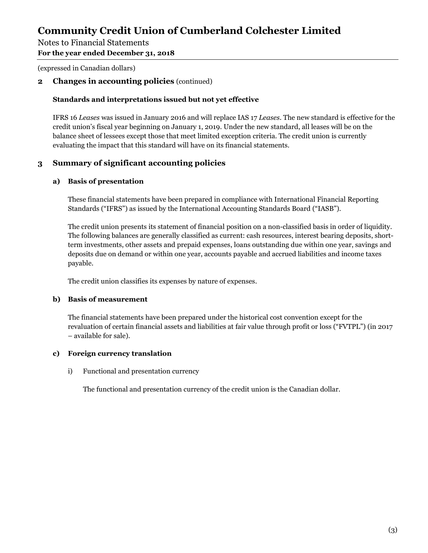Notes to Financial Statements

**For the year ended December 31, 2018** 

(expressed in Canadian dollars)

### **2 Changes in accounting policies** (continued)

### **Standards and interpretations issued but not yet effective**

IFRS 16 *Leases* was issued in January 2016 and will replace IAS 17 *Leases*. The new standard is effective for the credit union's fiscal year beginning on January 1, 2019. Under the new standard, all leases will be on the balance sheet of lessees except those that meet limited exception criteria. The credit union is currently evaluating the impact that this standard will have on its financial statements.

### **3 Summary of significant accounting policies**

### **a) Basis of presentation**

These financial statements have been prepared in compliance with International Financial Reporting Standards ("IFRS") as issued by the International Accounting Standards Board ("IASB").

The credit union presents its statement of financial position on a non-classified basis in order of liquidity. The following balances are generally classified as current: cash resources, interest bearing deposits, shortterm investments, other assets and prepaid expenses, loans outstanding due within one year, savings and deposits due on demand or within one year, accounts payable and accrued liabilities and income taxes payable.

The credit union classifies its expenses by nature of expenses.

### **b) Basis of measurement**

The financial statements have been prepared under the historical cost convention except for the revaluation of certain financial assets and liabilities at fair value through profit or loss ("FVTPL") (in 2017 – available for sale).

### **c) Foreign currency translation**

i) Functional and presentation currency

The functional and presentation currency of the credit union is the Canadian dollar.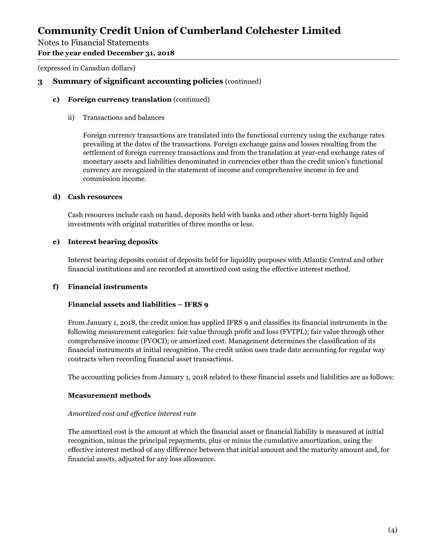### Notes to Financial Statements

### **For the year ended December 31, 2018**

(expressed in Canadian dollars)

### **3 Summary of significant accounting policies** (continued)

### **c) Foreign currency translation** (continued)

ii) Transactions and balances

Foreign currency transactions are translated into the functional currency using the exchange rates prevailing at the dates of the transactions. Foreign exchange gains and losses resulting from the settlement of foreign currency transactions and from the translation at year-end exchange rates of monetary assets and liabilities denominated in currencies other than the credit union's functional currency are recognized in the statement of income and comprehensive income in fee and commission income.

### **d) Cash resources**

Cash resources include cash on hand, deposits held with banks and other short-term highly liquid investments with original maturities of three months or less.

### **e) Interest bearing deposits**

Interest bearing deposits consist of deposits held for liquidity purposes with Atlantic Central and other financial institutions and are recorded at amortized cost using the effective interest method.

### **f) Financial instruments**

### **Financial assets and liabilities – IFRS 9**

From January 1, 2018, the credit union has applied IFRS 9 and classifies its financial instruments in the following measurement categories: fair value through profit and loss (FVTPL); fair value through other comprehensive income (FVOCI); or amortized cost. Management determines the classification of its financial instruments at initial recognition. The credit union uses trade date accounting for regular way contracts when recording financial asset transactions.

The accounting policies from January 1, 2018 related to these financial assets and liabilities are as follows:

### **Measurement methods**

### *Amortized cost and effective interest rate*

The amortized cost is the amount at which the financial asset or financial liability is measured at initial recognition, minus the principal repayments, plus or minus the cumulative amortization, using the effective interest method of any difference between that initial amount and the maturity amount and, for financial assets, adjusted for any loss allowance.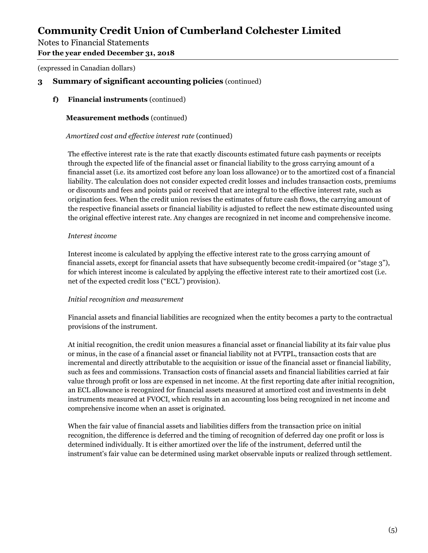### Notes to Financial Statements

**For the year ended December 31, 2018** 

(expressed in Canadian dollars)

### **3 Summary of significant accounting policies** (continued)

**f) Financial instruments** (continued)

### **Measurement methods** (continued)

### *Amortized cost and effective interest rate* (continued)

The effective interest rate is the rate that exactly discounts estimated future cash payments or receipts through the expected life of the financial asset or financial liability to the gross carrying amount of a financial asset (i.e. its amortized cost before any loan loss allowance) or to the amortized cost of a financial liability. The calculation does not consider expected credit losses and includes transaction costs, premiums or discounts and fees and points paid or received that are integral to the effective interest rate, such as origination fees. When the credit union revises the estimates of future cash flows, the carrying amount of the respective financial assets or financial liability is adjusted to reflect the new estimate discounted using the original effective interest rate. Any changes are recognized in net income and comprehensive income.

### *Interest income*

Interest income is calculated by applying the effective interest rate to the gross carrying amount of financial assets, except for financial assets that have subsequently become credit-impaired (or "stage 3"), for which interest income is calculated by applying the effective interest rate to their amortized cost (i.e. net of the expected credit loss ("ECL") provision).

### *Initial recognition and measurement*

Financial assets and financial liabilities are recognized when the entity becomes a party to the contractual provisions of the instrument.

At initial recognition, the credit union measures a financial asset or financial liability at its fair value plus or minus, in the case of a financial asset or financial liability not at FVTPL, transaction costs that are incremental and directly attributable to the acquisition or issue of the financial asset or financial liability, such as fees and commissions. Transaction costs of financial assets and financial liabilities carried at fair value through profit or loss are expensed in net income. At the first reporting date after initial recognition, an ECL allowance is recognized for financial assets measured at amortized cost and investments in debt instruments measured at FVOCI, which results in an accounting loss being recognized in net income and comprehensive income when an asset is originated.

When the fair value of financial assets and liabilities differs from the transaction price on initial recognition, the difference is deferred and the timing of recognition of deferred day one profit or loss is determined individually. It is either amortized over the life of the instrument, deferred until the instrument's fair value can be determined using market observable inputs or realized through settlement.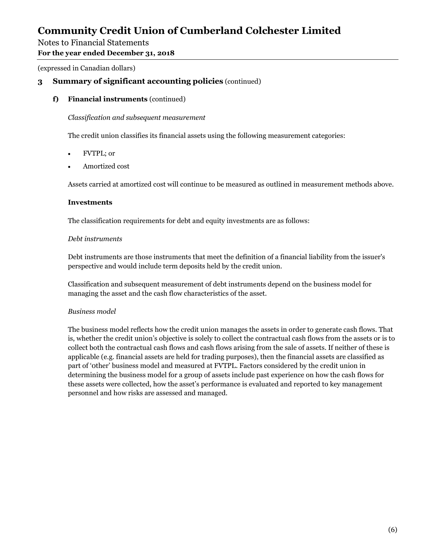### Notes to Financial Statements

### **For the year ended December 31, 2018**

(expressed in Canadian dollars)

### **3 Summary of significant accounting policies** (continued)

**f) Financial instruments** (continued)

#### *Classification and subsequent measurement*

The credit union classifies its financial assets using the following measurement categories:

- FVTPL; or
- Amortized cost

Assets carried at amortized cost will continue to be measured as outlined in measurement methods above.

### **Investments**

The classification requirements for debt and equity investments are as follows:

### *Debt instruments*

Debt instruments are those instruments that meet the definition of a financial liability from the issuer's perspective and would include term deposits held by the credit union.

Classification and subsequent measurement of debt instruments depend on the business model for managing the asset and the cash flow characteristics of the asset.

### *Business model*

The business model reflects how the credit union manages the assets in order to generate cash flows. That is, whether the credit union's objective is solely to collect the contractual cash flows from the assets or is to collect both the contractual cash flows and cash flows arising from the sale of assets. If neither of these is applicable (e.g. financial assets are held for trading purposes), then the financial assets are classified as part of '0ther' business model and measured at FVTPL. Factors considered by the credit union in determining the business model for a group of assets include past experience on how the cash flows for these assets were collected, how the asset's performance is evaluated and reported to key management personnel and how risks are assessed and managed.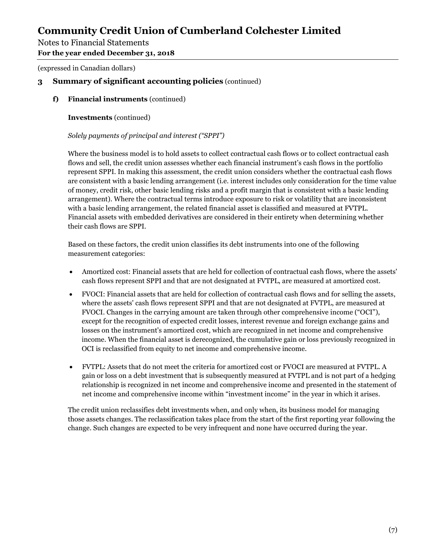Notes to Financial Statements

**For the year ended December 31, 2018** 

(expressed in Canadian dollars)

### **3 Summary of significant accounting policies** (continued)

**f) Financial instruments** (continued)

### **Investments** (continued)

### *Solely payments of principal and interest ("SPPI")*

Where the business model is to hold assets to collect contractual cash flows or to collect contractual cash flows and sell, the credit union assesses whether each financial instrument's cash flows in the portfolio represent SPPI. In making this assessment, the credit union considers whether the contractual cash flows are consistent with a basic lending arrangement (i.e. interest includes only consideration for the time value of money, credit risk, other basic lending risks and a profit margin that is consistent with a basic lending arrangement). Where the contractual terms introduce exposure to risk or volatility that are inconsistent with a basic lending arrangement, the related financial asset is classified and measured at FVTPL. Financial assets with embedded derivatives are considered in their entirety when determining whether their cash flows are SPPI.

Based on these factors, the credit union classifies its debt instruments into one of the following measurement categories:

- Amortized cost: Financial assets that are held for collection of contractual cash flows, where the assets' cash flows represent SPPI and that are not designated at FVTPL, are measured at amortized cost.
- FVOCI: Financial assets that are held for collection of contractual cash flows and for selling the assets, where the assets' cash flows represent SPPI and that are not designated at FVTPL, are measured at FVOCI. Changes in the carrying amount are taken through other comprehensive income ("OCI"), except for the recognition of expected credit losses, interest revenue and foreign exchange gains and losses on the instrument's amortized cost, which are recognized in net income and comprehensive income. When the financial asset is derecognized, the cumulative gain or loss previously recognized in OCI is reclassified from equity to net income and comprehensive income.
- FVTPL: Assets that do not meet the criteria for amortized cost or FVOCI are measured at FVTPL. A gain or loss on a debt investment that is subsequently measured at FVTPL and is not part of a hedging relationship is recognized in net income and comprehensive income and presented in the statement of net income and comprehensive income within "investment income" in the year in which it arises.

The credit union reclassifies debt investments when, and only when, its business model for managing those assets changes. The reclassification takes place from the start of the first reporting year following the change. Such changes are expected to be very infrequent and none have occurred during the year.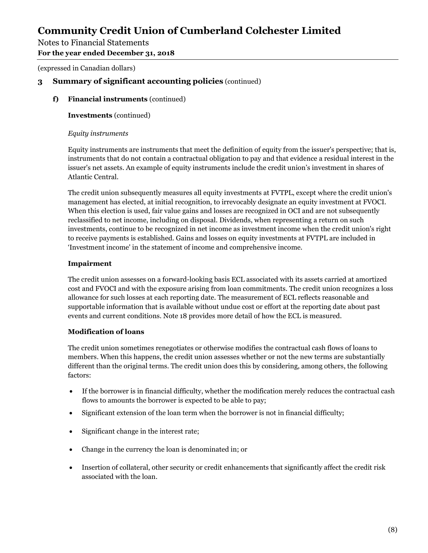Notes to Financial Statements

### **For the year ended December 31, 2018**

(expressed in Canadian dollars)

### **3 Summary of significant accounting policies** (continued)

**f) Financial instruments** (continued)

**Investments** (continued)

### *Equity instruments*

Equity instruments are instruments that meet the definition of equity from the issuer's perspective; that is, instruments that do not contain a contractual obligation to pay and that evidence a residual interest in the issuer's net assets. An example of equity instruments include the credit union's investment in shares of Atlantic Central.

The credit union subsequently measures all equity investments at FVTPL, except where the credit union's management has elected, at initial recognition, to irrevocably designate an equity investment at FVOCI. When this election is used, fair value gains and losses are recognized in OCI and are not subsequently reclassified to net income, including on disposal. Dividends, when representing a return on such investments, continue to be recognized in net income as investment income when the credit union's right to receive payments is established. Gains and losses on equity investments at FVTPL are included in 'Investment income' in the statement of income and comprehensive income.

### **Impairment**

The credit union assesses on a forward-looking basis ECL associated with its assets carried at amortized cost and FVOCI and with the exposure arising from loan commitments. The credit union recognizes a loss allowance for such losses at each reporting date. The measurement of ECL reflects reasonable and supportable information that is available without undue cost or effort at the reporting date about past events and current conditions. Note 18 provides more detail of how the ECL is measured.

### **Modification of loans**

The credit union sometimes renegotiates or otherwise modifies the contractual cash flows of loans to members. When this happens, the credit union assesses whether or not the new terms are substantially different than the original terms. The credit union does this by considering, among others, the following factors:

- If the borrower is in financial difficulty, whether the modification merely reduces the contractual cash flows to amounts the borrower is expected to be able to pay;
- Significant extension of the loan term when the borrower is not in financial difficulty;
- Significant change in the interest rate;
- Change in the currency the loan is denominated in; or
- Insertion of collateral, other security or credit enhancements that significantly affect the credit risk associated with the loan.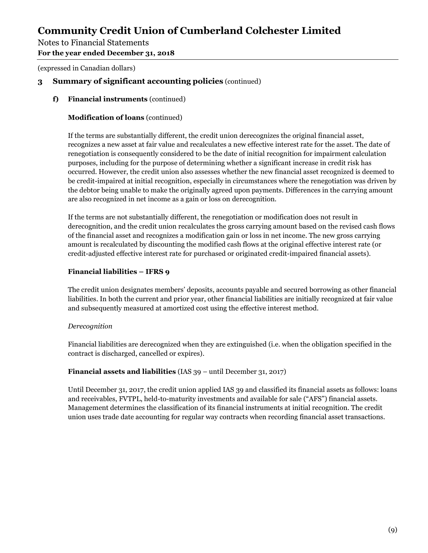### Notes to Financial Statements

### **For the year ended December 31, 2018**

(expressed in Canadian dollars)

### **3 Summary of significant accounting policies** (continued)

### **f) Financial instruments** (continued)

### **Modification of loans** (continued)

If the terms are substantially different, the credit union derecognizes the original financial asset, recognizes a new asset at fair value and recalculates a new effective interest rate for the asset. The date of renegotiation is consequently considered to be the date of initial recognition for impairment calculation purposes, including for the purpose of determining whether a significant increase in credit risk has occurred. However, the credit union also assesses whether the new financial asset recognized is deemed to be credit-impaired at initial recognition, especially in circumstances where the renegotiation was driven by the debtor being unable to make the originally agreed upon payments. Differences in the carrying amount are also recognized in net income as a gain or loss on derecognition.

If the terms are not substantially different, the renegotiation or modification does not result in derecognition, and the credit union recalculates the gross carrying amount based on the revised cash flows of the financial asset and recognizes a modification gain or loss in net income. The new gross carrying amount is recalculated by discounting the modified cash flows at the original effective interest rate (or credit-adjusted effective interest rate for purchased or originated credit-impaired financial assets).

### **Financial liabilities – IFRS 9**

The credit union designates members' deposits, accounts payable and secured borrowing as other financial liabilities. In both the current and prior year, other financial liabilities are initially recognized at fair value and subsequently measured at amortized cost using the effective interest method.

### *Derecognition*

Financial liabilities are derecognized when they are extinguished (i.e. when the obligation specified in the contract is discharged, cancelled or expires).

### **Financial assets and liabilities** (IAS 39 – until December 31, 2017)

Until December 31, 2017, the credit union applied IAS 39 and classified its financial assets as follows: loans and receivables, FVTPL, held-to-maturity investments and available for sale ("AFS") financial assets. Management determines the classification of its financial instruments at initial recognition. The credit union uses trade date accounting for regular way contracts when recording financial asset transactions.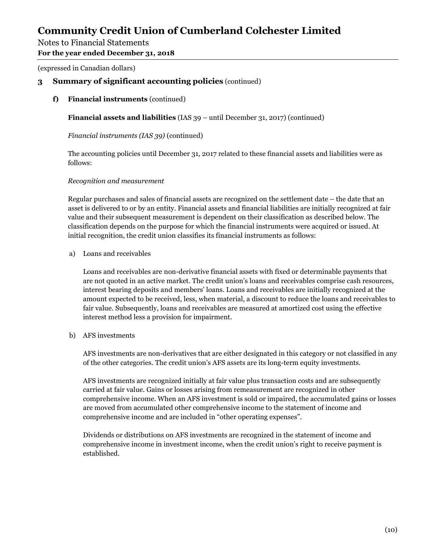Notes to Financial Statements

**For the year ended December 31, 2018** 

(expressed in Canadian dollars)

### **3 Summary of significant accounting policies** (continued)

**f) Financial instruments** (continued)

**Financial assets and liabilities** (IAS 39 – until December 31, 2017) (continued)

*Financial instruments (IAS 39)* (continued)

The accounting policies until December 31, 2017 related to these financial assets and liabilities were as follows:

### *Recognition and measurement*

Regular purchases and sales of financial assets are recognized on the settlement date – the date that an asset is delivered to or by an entity. Financial assets and financial liabilities are initially recognized at fair value and their subsequent measurement is dependent on their classification as described below. The classification depends on the purpose for which the financial instruments were acquired or issued. At initial recognition, the credit union classifies its financial instruments as follows:

a) Loans and receivables

Loans and receivables are non-derivative financial assets with fixed or determinable payments that are not quoted in an active market. The credit union's loans and receivables comprise cash resources, interest bearing deposits and members' loans. Loans and receivables are initially recognized at the amount expected to be received, less, when material, a discount to reduce the loans and receivables to fair value. Subsequently, loans and receivables are measured at amortized cost using the effective interest method less a provision for impairment.

b) AFS investments

AFS investments are non-derivatives that are either designated in this category or not classified in any of the other categories. The credit union's AFS assets are its long-term equity investments.

AFS investments are recognized initially at fair value plus transaction costs and are subsequently carried at fair value. Gains or losses arising from remeasurement are recognized in other comprehensive income. When an AFS investment is sold or impaired, the accumulated gains or losses are moved from accumulated other comprehensive income to the statement of income and comprehensive income and are included in "other operating expenses".

Dividends or distributions on AFS investments are recognized in the statement of income and comprehensive income in investment income, when the credit union's right to receive payment is established.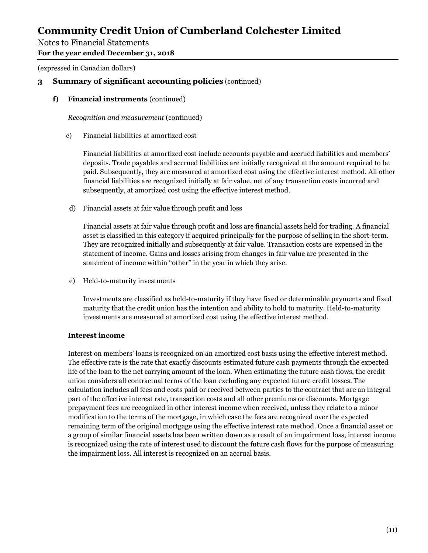Notes to Financial Statements

### **For the year ended December 31, 2018**

(expressed in Canadian dollars)

### **3 Summary of significant accounting policies** (continued)

**f) Financial instruments** (continued)

*Recognition and measurement* (continued)

c) Financial liabilities at amortized cost

Financial liabilities at amortized cost include accounts payable and accrued liabilities and members' deposits. Trade payables and accrued liabilities are initially recognized at the amount required to be paid. Subsequently, they are measured at amortized cost using the effective interest method. All other financial liabilities are recognized initially at fair value, net of any transaction costs incurred and subsequently, at amortized cost using the effective interest method.

d) Financial assets at fair value through profit and loss

Financial assets at fair value through profit and loss are financial assets held for trading. A financial asset is classified in this category if acquired principally for the purpose of selling in the short-term. They are recognized initially and subsequently at fair value. Transaction costs are expensed in the statement of income. Gains and losses arising from changes in fair value are presented in the statement of income within "other" in the year in which they arise.

e) Held-to-maturity investments

Investments are classified as held-to-maturity if they have fixed or determinable payments and fixed maturity that the credit union has the intention and ability to hold to maturity. Held-to-maturity investments are measured at amortized cost using the effective interest method.

### **Interest income**

Interest on members' loans is recognized on an amortized cost basis using the effective interest method. The effective rate is the rate that exactly discounts estimated future cash payments through the expected life of the loan to the net carrying amount of the loan. When estimating the future cash flows, the credit union considers all contractual terms of the loan excluding any expected future credit losses. The calculation includes all fees and costs paid or received between parties to the contract that are an integral part of the effective interest rate, transaction costs and all other premiums or discounts. Mortgage prepayment fees are recognized in other interest income when received, unless they relate to a minor modification to the terms of the mortgage, in which case the fees are recognized over the expected remaining term of the original mortgage using the effective interest rate method. Once a financial asset or a group of similar financial assets has been written down as a result of an impairment loss, interest income is recognized using the rate of interest used to discount the future cash flows for the purpose of measuring the impairment loss. All interest is recognized on an accrual basis.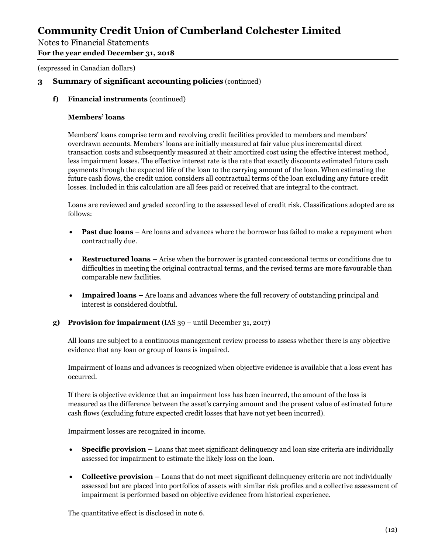### Notes to Financial Statements

### **For the year ended December 31, 2018**

(expressed in Canadian dollars)

### **3 Summary of significant accounting policies** (continued)

### **f) Financial instruments** (continued)

### **Members' loans**

Members' loans comprise term and revolving credit facilities provided to members and members' overdrawn accounts. Members' loans are initially measured at fair value plus incremental direct transaction costs and subsequently measured at their amortized cost using the effective interest method, less impairment losses. The effective interest rate is the rate that exactly discounts estimated future cash payments through the expected life of the loan to the carrying amount of the loan. When estimating the future cash flows, the credit union considers all contractual terms of the loan excluding any future credit losses. Included in this calculation are all fees paid or received that are integral to the contract.

Loans are reviewed and graded according to the assessed level of credit risk. Classifications adopted are as follows:

- **Past due loans** Are loans and advances where the borrower has failed to make a repayment when contractually due.
- **Restructured loans** Arise when the borrower is granted concessional terms or conditions due to difficulties in meeting the original contractual terms, and the revised terms are more favourable than comparable new facilities.
- **Impaired loans** Are loans and advances where the full recovery of outstanding principal and interest is considered doubtful.
- **g) Provision for impairment** (IAS 39 until December 31, 2017)

All loans are subject to a continuous management review process to assess whether there is any objective evidence that any loan or group of loans is impaired.

Impairment of loans and advances is recognized when objective evidence is available that a loss event has occurred.

If there is objective evidence that an impairment loss has been incurred, the amount of the loss is measured as the difference between the asset's carrying amount and the present value of estimated future cash flows (excluding future expected credit losses that have not yet been incurred).

Impairment losses are recognized in income.

- **Specific provision** Loans that meet significant delinquency and loan size criteria are individually assessed for impairment to estimate the likely loss on the loan.
- **Collective provision** Loans that do not meet significant delinquency criteria are not individually assessed but are placed into portfolios of assets with similar risk profiles and a collective assessment of impairment is performed based on objective evidence from historical experience.

The quantitative effect is disclosed in note 6.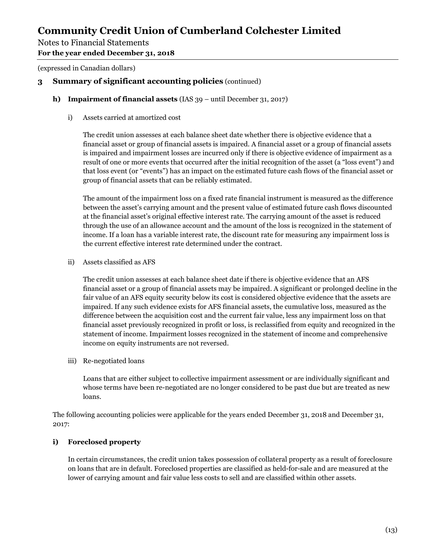### Notes to Financial Statements

### **For the year ended December 31, 2018**

(expressed in Canadian dollars)

### **3 Summary of significant accounting policies** (continued)

- **h) Impairment of financial assets** (IAS 39 until December 31, 2017)
	- i) Assets carried at amortized cost

The credit union assesses at each balance sheet date whether there is objective evidence that a financial asset or group of financial assets is impaired. A financial asset or a group of financial assets is impaired and impairment losses are incurred only if there is objective evidence of impairment as a result of one or more events that occurred after the initial recognition of the asset (a "loss event") and that loss event (or "events") has an impact on the estimated future cash flows of the financial asset or group of financial assets that can be reliably estimated.

The amount of the impairment loss on a fixed rate financial instrument is measured as the difference between the asset's carrying amount and the present value of estimated future cash flows discounted at the financial asset's original effective interest rate. The carrying amount of the asset is reduced through the use of an allowance account and the amount of the loss is recognized in the statement of income. If a loan has a variable interest rate, the discount rate for measuring any impairment loss is the current effective interest rate determined under the contract.

ii) Assets classified as AFS

The credit union assesses at each balance sheet date if there is objective evidence that an AFS financial asset or a group of financial assets may be impaired. A significant or prolonged decline in the fair value of an AFS equity security below its cost is considered objective evidence that the assets are impaired. If any such evidence exists for AFS financial assets, the cumulative loss, measured as the difference between the acquisition cost and the current fair value, less any impairment loss on that financial asset previously recognized in profit or loss, is reclassified from equity and recognized in the statement of income. Impairment losses recognized in the statement of income and comprehensive income on equity instruments are not reversed.

iii) Re-negotiated loans

Loans that are either subject to collective impairment assessment or are individually significant and whose terms have been re-negotiated are no longer considered to be past due but are treated as new loans.

The following accounting policies were applicable for the years ended December 31, 2018 and December 31, 2017:

### **i) Foreclosed property**

In certain circumstances, the credit union takes possession of collateral property as a result of foreclosure on loans that are in default. Foreclosed properties are classified as held-for-sale and are measured at the lower of carrying amount and fair value less costs to sell and are classified within other assets.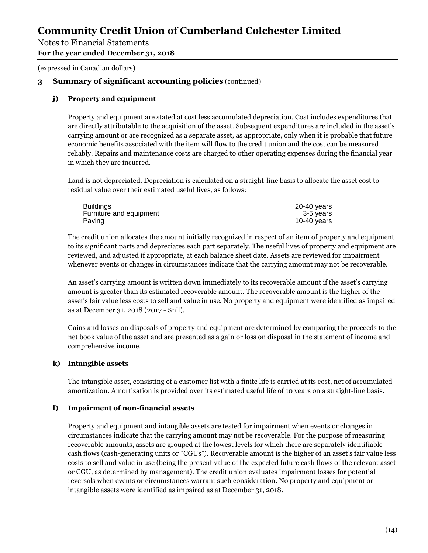Notes to Financial Statements

**For the year ended December 31, 2018** 

(expressed in Canadian dollars)

### **3 Summary of significant accounting policies** (continued)

### **j) Property and equipment**

Property and equipment are stated at cost less accumulated depreciation. Cost includes expenditures that are directly attributable to the acquisition of the asset. Subsequent expenditures are included in the asset's carrying amount or are recognized as a separate asset, as appropriate, only when it is probable that future economic benefits associated with the item will flow to the credit union and the cost can be measured reliably. Repairs and maintenance costs are charged to other operating expenses during the financial year in which they are incurred.

Land is not depreciated. Depreciation is calculated on a straight-line basis to allocate the asset cost to residual value over their estimated useful lives, as follows:

| Buildings               | 20-40 years   |
|-------------------------|---------------|
| Furniture and equipment | 3-5 years     |
| Paving                  | 10-40 $years$ |

The credit union allocates the amount initially recognized in respect of an item of property and equipment to its significant parts and depreciates each part separately. The useful lives of property and equipment are reviewed, and adjusted if appropriate, at each balance sheet date. Assets are reviewed for impairment whenever events or changes in circumstances indicate that the carrying amount may not be recoverable.

An asset's carrying amount is written down immediately to its recoverable amount if the asset's carrying amount is greater than its estimated recoverable amount. The recoverable amount is the higher of the asset's fair value less costs to sell and value in use. No property and equipment were identified as impaired as at December 31, 2018 (2017 - \$nil).

Gains and losses on disposals of property and equipment are determined by comparing the proceeds to the net book value of the asset and are presented as a gain or loss on disposal in the statement of income and comprehensive income.

### **k) Intangible assets**

The intangible asset, consisting of a customer list with a finite life is carried at its cost, net of accumulated amortization. Amortization is provided over its estimated useful life of 10 years on a straight-line basis.

### **l) Impairment of non-financial assets**

Property and equipment and intangible assets are tested for impairment when events or changes in circumstances indicate that the carrying amount may not be recoverable. For the purpose of measuring recoverable amounts, assets are grouped at the lowest levels for which there are separately identifiable cash flows (cash-generating units or "CGUs"). Recoverable amount is the higher of an asset's fair value less costs to sell and value in use (being the present value of the expected future cash flows of the relevant asset or CGU, as determined by management). The credit union evaluates impairment losses for potential reversals when events or circumstances warrant such consideration. No property and equipment or intangible assets were identified as impaired as at December 31, 2018.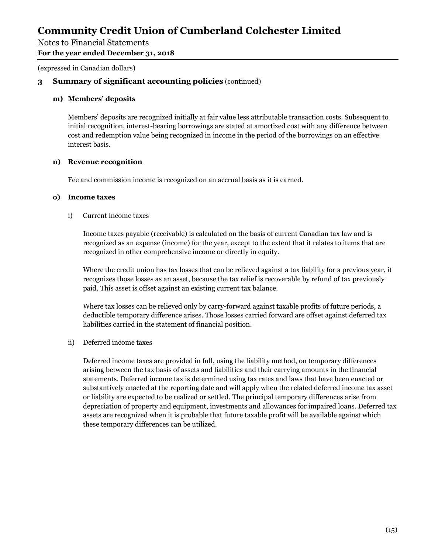Notes to Financial Statements

**For the year ended December 31, 2018** 

(expressed in Canadian dollars)

### **3 Summary of significant accounting policies** (continued)

### **m) Members' deposits**

Members' deposits are recognized initially at fair value less attributable transaction costs. Subsequent to initial recognition, interest-bearing borrowings are stated at amortized cost with any difference between cost and redemption value being recognized in income in the period of the borrowings on an effective interest basis.

### **n) Revenue recognition**

Fee and commission income is recognized on an accrual basis as it is earned.

### **o) Income taxes**

i) Current income taxes

Income taxes payable (receivable) is calculated on the basis of current Canadian tax law and is recognized as an expense (income) for the year, except to the extent that it relates to items that are recognized in other comprehensive income or directly in equity.

Where the credit union has tax losses that can be relieved against a tax liability for a previous year, it recognizes those losses as an asset, because the tax relief is recoverable by refund of tax previously paid. This asset is offset against an existing current tax balance.

Where tax losses can be relieved only by carry-forward against taxable profits of future periods, a deductible temporary difference arises. Those losses carried forward are offset against deferred tax liabilities carried in the statement of financial position.

### ii) Deferred income taxes

Deferred income taxes are provided in full, using the liability method, on temporary differences arising between the tax basis of assets and liabilities and their carrying amounts in the financial statements. Deferred income tax is determined using tax rates and laws that have been enacted or substantively enacted at the reporting date and will apply when the related deferred income tax asset or liability are expected to be realized or settled. The principal temporary differences arise from depreciation of property and equipment, investments and allowances for impaired loans. Deferred tax assets are recognized when it is probable that future taxable profit will be available against which these temporary differences can be utilized.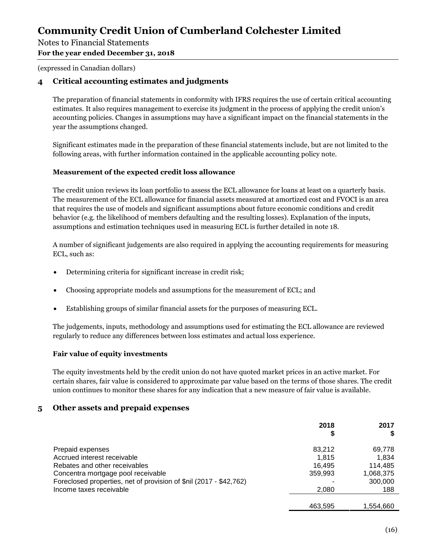## Notes to Financial Statements

### **For the year ended December 31, 2018**

(expressed in Canadian dollars)

### **4 Critical accounting estimates and judgments**

The preparation of financial statements in conformity with IFRS requires the use of certain critical accounting estimates. It also requires management to exercise its judgment in the process of applying the credit union's accounting policies. Changes in assumptions may have a significant impact on the financial statements in the year the assumptions changed.

Significant estimates made in the preparation of these financial statements include, but are not limited to the following areas, with further information contained in the applicable accounting policy note.

### **Measurement of the expected credit loss allowance**

The credit union reviews its loan portfolio to assess the ECL allowance for loans at least on a quarterly basis. The measurement of the ECL allowance for financial assets measured at amortized cost and FVOCI is an area that requires the use of models and significant assumptions about future economic conditions and credit behavior (e.g. the likelihood of members defaulting and the resulting losses). Explanation of the inputs, assumptions and estimation techniques used in measuring ECL is further detailed in note 18.

A number of significant judgements are also required in applying the accounting requirements for measuring ECL, such as:

- Determining criteria for significant increase in credit risk;
- Choosing appropriate models and assumptions for the measurement of ECL; and
- Establishing groups of similar financial assets for the purposes of measuring ECL.

The judgements, inputs, methodology and assumptions used for estimating the ECL allowance are reviewed regularly to reduce any differences between loss estimates and actual loss experience.

### **Fair value of equity investments**

The equity investments held by the credit union do not have quoted market prices in an active market. For certain shares, fair value is considered to approximate par value based on the terms of those shares. The credit union continues to monitor these shares for any indication that a new measure of fair value is available.

### **5 Other assets and prepaid expenses**

|                                                                    | 2018<br>\$ | 2017      |
|--------------------------------------------------------------------|------------|-----------|
| Prepaid expenses                                                   | 83.212     | 69,778    |
| Accrued interest receivable                                        | 1.815      | 1.834     |
| Rebates and other receivables                                      | 16.495     | 114,485   |
| Concentra mortgage pool receivable                                 | 359,993    | 1,068,375 |
| Foreclosed properties, net of provision of \$nil (2017 - \$42,762) |            | 300,000   |
| Income taxes receivable                                            | 2,080      | 188       |
|                                                                    | 463,595    | 1,554,660 |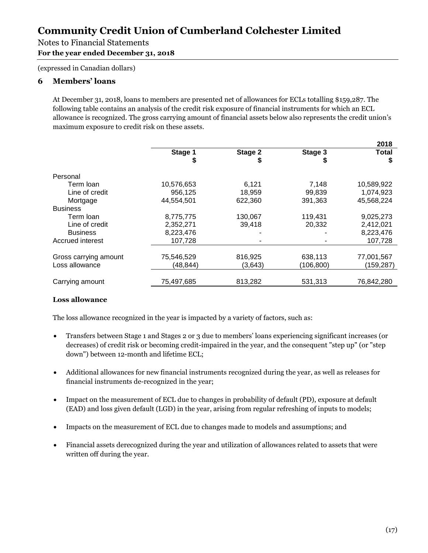### Notes to Financial Statements

### **For the year ended December 31, 2018**

(expressed in Canadian dollars)

### **6 Members' loans**

At December 31, 2018, loans to members are presented net of allowances for ECLs totalling \$159,287. The following table contains an analysis of the credit risk exposure of financial instruments for which an ECL allowance is recognized. The gross carrying amount of financial assets below also represents the credit union's maximum exposure to credit risk on these assets.

|                       |            |         |           | 2018       |
|-----------------------|------------|---------|-----------|------------|
|                       | Stage 1    | Stage 2 | Stage 3   | Total      |
|                       | \$         | 5       | 5         | S          |
| Personal              |            |         |           |            |
| Term Ioan             | 10,576,653 | 6,121   | 7,148     | 10.589.922 |
| Line of credit        | 956.125    | 18.959  | 99.839    | 1.074.923  |
| Mortgage              | 44.554.501 | 622,360 | 391.363   | 45.568.224 |
| <b>Business</b>       |            |         |           |            |
| Term Ioan             | 8,775,775  | 130,067 | 119,431   | 9,025,273  |
| Line of credit        | 2,352,271  | 39,418  | 20,332    | 2,412,021  |
| <b>Business</b>       | 8,223,476  |         |           | 8,223,476  |
| Accrued interest      | 107,728    |         |           | 107,728    |
|                       |            |         |           |            |
| Gross carrying amount | 75,546,529 | 816,925 | 638,113   | 77,001,567 |
| Loss allowance        | (48,844)   | (3,643) | (106,800) | (159,287)  |
| Carrying amount       | 75,497,685 | 813,282 | 531,313   | 76,842,280 |

### **Loss allowance**

The loss allowance recognized in the year is impacted by a variety of factors, such as:

- Transfers between Stage 1 and Stages 2 or 3 due to members' loans experiencing significant increases (or decreases) of credit risk or becoming credit-impaired in the year, and the consequent "step up" (or "step down") between 12-month and lifetime ECL;
- Additional allowances for new financial instruments recognized during the year, as well as releases for financial instruments de-recognized in the year;
- Impact on the measurement of ECL due to changes in probability of default (PD), exposure at default (EAD) and loss given default (LGD) in the year, arising from regular refreshing of inputs to models;
- Impacts on the measurement of ECL due to changes made to models and assumptions; and
- Financial assets derecognized during the year and utilization of allowances related to assets that were written off during the year.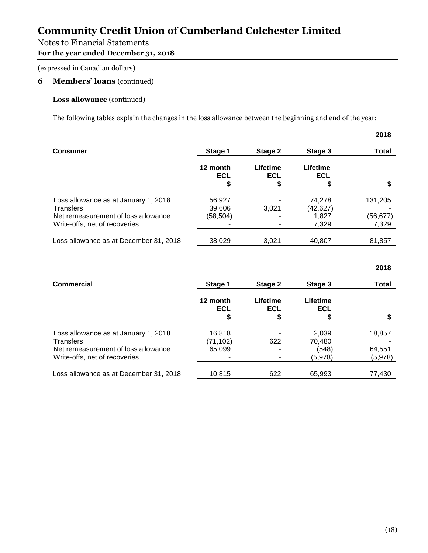### Notes to Financial Statements

**For the year ended December 31, 2018** 

(expressed in Canadian dollars)

### **6 Members' loans** (continued)

#### **Loss allowance** (continued)

The following tables explain the changes in the loss allowance between the beginning and end of the year:

|                                                                      |                  |                        |                        | 2018               |
|----------------------------------------------------------------------|------------------|------------------------|------------------------|--------------------|
| <b>Consumer</b>                                                      | Stage 1          | Stage 2                | Stage 3                | Total              |
|                                                                      | 12 month<br>ECL  | Lifetime<br><b>ECL</b> | Lifetime<br><b>ECL</b> |                    |
|                                                                      | \$               | \$                     | \$                     | S                  |
| Loss allowance as at January 1, 2018<br><b>Transfers</b>             | 56,927<br>39,606 | 3,021                  | 74,278<br>(42, 627)    | 131,205            |
| Net remeasurement of loss allowance<br>Write-offs, net of recoveries | (58, 504)        |                        | 1,827<br>7,329         | (56, 677)<br>7,329 |
| Loss allowance as at December 31, 2018                               | 38,029           | 3,021                  | 40,807                 | 81,857             |
|                                                                      |                  |                        |                        |                    |
|                                                                      |                  |                        |                        | 2018               |

| <b>Commercial</b>                      | Stage 1         | Stage 2         | Stage 3                | Total   |
|----------------------------------------|-----------------|-----------------|------------------------|---------|
|                                        | 12 month<br>ECL | Lifetime<br>ECL | Lifetime<br><b>ECL</b> |         |
|                                        | \$              | S               | \$                     | S       |
| Loss allowance as at January 1, 2018   | 16,818          |                 | 2.039                  | 18,857  |
| <b>Transfers</b>                       | (71,102)        | 622             | 70.480                 |         |
| Net remeasurement of loss allowance    | 65,099          |                 | (548)                  | 64,551  |
| Write-offs, net of recoveries          |                 |                 | (5,978)                | (5,978) |
| Loss allowance as at December 31, 2018 | 10,815          | 622             | 65,993                 | 77,430  |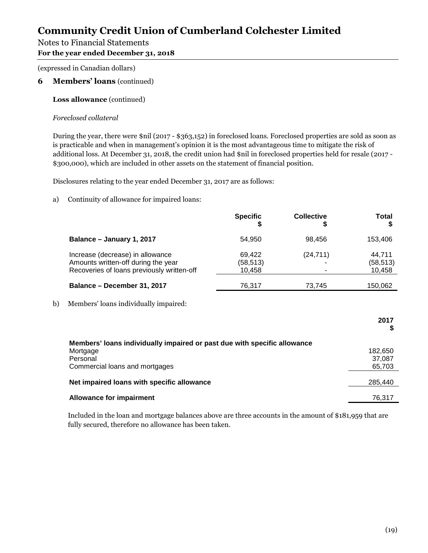### Notes to Financial Statements

### **For the year ended December 31, 2018**

(expressed in Canadian dollars)

### **6 Members' loans** (continued)

**Loss allowance** (continued)

### *Foreclosed collateral*

During the year, there were \$nil (2017 - \$363,152) in foreclosed loans. Foreclosed properties are sold as soon as is practicable and when in management's opinion it is the most advantageous time to mitigate the risk of additional loss. At December 31, 2018, the credit union had \$nil in foreclosed properties held for resale (2017 - \$300,000), which are included in other assets on the statement of financial position.

Disclosures relating to the year ended December 31, 2017 are as follows:

a) Continuity of allowance for impaired loans:

|                                                                                                                       | <b>Specific</b>               | <b>Collective</b> | Total                         |
|-----------------------------------------------------------------------------------------------------------------------|-------------------------------|-------------------|-------------------------------|
| Balance - January 1, 2017                                                                                             | 54.950                        | 98,456            | 153,406                       |
| Increase (decrease) in allowance<br>Amounts written-off during the year<br>Recoveries of loans previously written-off | 69,422<br>(58, 513)<br>10,458 | (24, 711)         | 44.711<br>(58, 513)<br>10,458 |
| Balance – December 31, 2017                                                                                           | 76,317                        | 73,745            | 150,062                       |

b) Members' loans individually impaired:

|                                                                          | 2017    |
|--------------------------------------------------------------------------|---------|
| Members' loans individually impaired or past due with specific allowance |         |
| Mortgage                                                                 | 182,650 |
| Personal                                                                 | 37,087  |
| Commercial loans and mortgages                                           | 65,703  |
|                                                                          |         |
| Net impaired loans with specific allowance                               | 285,440 |
|                                                                          |         |
| <b>Allowance for impairment</b>                                          | 76,317  |
|                                                                          |         |

Included in the loan and mortgage balances above are three accounts in the amount of \$181,959 that are fully secured, therefore no allowance has been taken.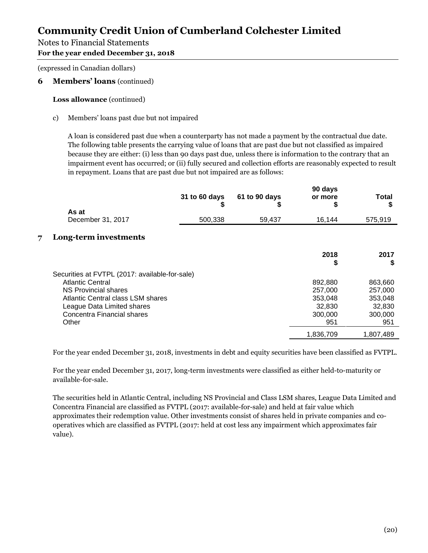### Notes to Financial Statements

### **For the year ended December 31, 2018**

(expressed in Canadian dollars)

### **6 Members' loans** (continued)

**Loss allowance** (continued)

### c) Members' loans past due but not impaired

A loan is considered past due when a counterparty has not made a payment by the contractual due date. The following table presents the carrying value of loans that are past due but not classified as impaired because they are either: (i) less than 90 days past due, unless there is information to the contrary that an impairment event has occurred; or (ii) fully secured and collection efforts are reasonably expected to result in repayment. Loans that are past due but not impaired are as follows:

|   |                                                | 31 to 60 days | 61 to 90 days<br>S | 90 days<br>or more<br>S | Total<br>S |
|---|------------------------------------------------|---------------|--------------------|-------------------------|------------|
|   | As at<br>December 31, 2017                     | 500,338       | 59,437             | 16,144                  | 575,919    |
|   |                                                |               |                    |                         |            |
| 7 | Long-term investments                          |               |                    |                         |            |
|   |                                                |               |                    | 2018                    | 2017       |
|   |                                                |               |                    | \$                      | S          |
|   | Securities at FVTPL (2017: available-for-sale) |               |                    |                         |            |
|   | <b>Atlantic Central</b>                        |               |                    | 892,880                 | 863,660    |
|   | <b>NS Provincial shares</b>                    |               |                    | 257,000                 | 257,000    |
|   | Atlantic Central class LSM shares              |               |                    | 353,048                 | 353,048    |
|   | League Data Limited shares                     |               |                    | 32,830                  | 32,830     |
|   | Concentra Financial shares                     |               |                    | 300,000                 | 300,000    |
|   | Other                                          |               |                    | 951                     | 951        |
|   |                                                |               |                    | 1,836,709               | 1,807,489  |

For the year ended December 31, 2018, investments in debt and equity securities have been classified as FVTPL.

For the year ended December 31, 2017, long-term investments were classified as either held-to-maturity or available-for-sale.

The securities held in Atlantic Central, including NS Provincial and Class LSM shares, League Data Limited and Concentra Financial are classified as FVTPL (2017: available-for-sale) and held at fair value which approximates their redemption value. Other investments consist of shares held in private companies and cooperatives which are classified as FVTPL (2017: held at cost less any impairment which approximates fair value).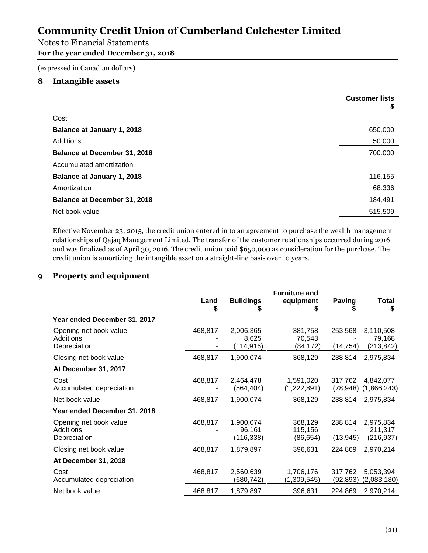### Notes to Financial Statements

**For the year ended December 31, 2018** 

(expressed in Canadian dollars)

### **8 Intangible assets**

|                                     | <b>Customer lists</b><br>\$ |
|-------------------------------------|-----------------------------|
| Cost                                |                             |
| Balance at January 1, 2018          | 650,000                     |
| Additions                           | 50,000                      |
| <b>Balance at December 31, 2018</b> | 700,000                     |
| Accumulated amortization            |                             |
| Balance at January 1, 2018          | 116,155                     |
| Amortization                        | 68,336                      |
| <b>Balance at December 31, 2018</b> | 184,491                     |
| Net book value                      | 515,509                     |

Effective November 23, 2015, the credit union entered in to an agreement to purchase the wealth management relationships of Qajaq Management Limited. The transfer of the customer relationships occurred during 2016 and was finalized as of April 30, 2016. The credit union paid \$650,000 as consideration for the purchase. The credit union is amortizing the intangible asset on a straight-line basis over 10 years.

### **9 Property and equipment**

|                                                     | Land<br>\$ | <b>Buildings</b>                  | <b>Furniture and</b><br>equipment | Paving               | Total<br>S                         |
|-----------------------------------------------------|------------|-----------------------------------|-----------------------------------|----------------------|------------------------------------|
| Year ended December 31, 2017                        |            |                                   |                                   |                      |                                    |
| Opening net book value<br>Additions<br>Depreciation | 468,817    | 2,006,365<br>8,625<br>(114, 916)  | 381,758<br>70,543<br>(84,172)     | 253,568<br>(14, 754) | 3,110,508<br>79,168<br>(213, 842)  |
| Closing net book value                              | 468,817    | 1,900,074                         | 368,129                           | 238,814              | 2,975,834                          |
| At December 31, 2017                                |            |                                   |                                   |                      |                                    |
| Cost<br>Accumulated depreciation                    | 468,817    | 2,464,478<br>(564,404)            | 1,591,020<br>(1,222,891)          | 317,762<br>(78, 948) | 4,842,077<br>(1,866,243)           |
| Net book value                                      | 468,817    | 1,900,074                         | 368,129                           | 238,814              | 2,975,834                          |
| Year ended December 31, 2018                        |            |                                   |                                   |                      |                                    |
| Opening net book value<br>Additions<br>Depreciation | 468,817    | 1,900,074<br>96,161<br>(116, 338) | 368,129<br>115,156<br>(86, 654)   | 238,814<br>(13, 945) | 2,975,834<br>211,317<br>(216, 937) |
| Closing net book value                              | 468,817    | 1,879,897                         | 396,631                           | 224,869              | 2,970,214                          |
| At December 31, 2018                                |            |                                   |                                   |                      |                                    |
| Cost<br>Accumulated depreciation                    | 468,817    | 2,560,639<br>(680, 742)           | 1,706,176<br>(1,309,545)          | 317,762<br>(92, 893) | 5,053,394<br>(2,083,180)           |
| Net book value                                      | 468,817    | 1,879,897                         | 396,631                           | 224,869              | 2,970,214                          |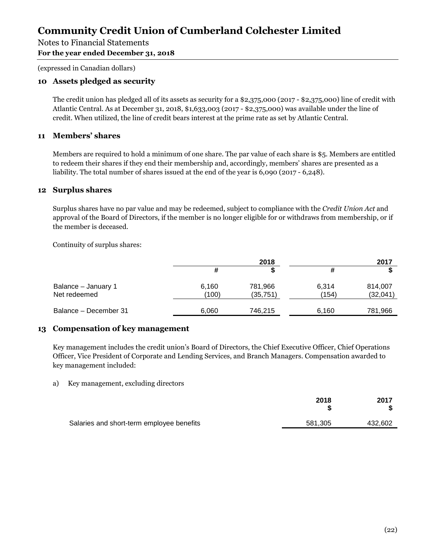### Notes to Financial Statements

**For the year ended December 31, 2018** 

(expressed in Canadian dollars)

### **10 Assets pledged as security**

The credit union has pledged all of its assets as security for a \$2,375,000 (2017 - \$2,375,000) line of credit with Atlantic Central. As at December 31, 2018, \$1,633,003 (2017 - \$2,375,000) was available under the line of credit. When utilized, the line of credit bears interest at the prime rate as set by Atlantic Central.

### **11 Members' shares**

Members are required to hold a minimum of one share. The par value of each share is \$5. Members are entitled to redeem their shares if they end their membership and, accordingly, members' shares are presented as a liability. The total number of shares issued at the end of the year is 6,090 (2017 - 6,248).

### **12 Surplus shares**

Surplus shares have no par value and may be redeemed, subject to compliance with the *Credit Union Act* and approval of the Board of Directors, if the member is no longer eligible for or withdraws from membership, or if the member is deceased.

Continuity of surplus shares:

|                                     | 2018           |                      | 2017           |                     |
|-------------------------------------|----------------|----------------------|----------------|---------------------|
|                                     | #              |                      | #              |                     |
| Balance - January 1<br>Net redeemed | 6,160<br>(100) | 781,966<br>(35, 751) | 6,314<br>(154) | 814,007<br>(32,041) |
| Balance - December 31               | 6,060          | 746,215              | 6.160          | 781,966             |

### **13 Compensation of key management**

Key management includes the credit union's Board of Directors, the Chief Executive Officer, Chief Operations Officer, Vice President of Corporate and Lending Services, and Branch Managers. Compensation awarded to key management included:

| Key management, excluding directors<br>a) |
|-------------------------------------------|
|-------------------------------------------|

|                                           | 2018    | 2017    |
|-------------------------------------------|---------|---------|
| Salaries and short-term employee benefits | 581,305 | 432.602 |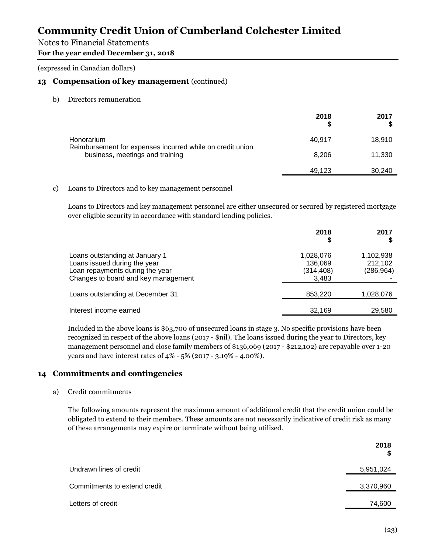### Notes to Financial Statements

### **For the year ended December 31, 2018**

(expressed in Canadian dollars)

### 13 **Compensation of key management** (continued)

b) Directors remuneration

|                                                                         | 2018   | 2017   |
|-------------------------------------------------------------------------|--------|--------|
| Honorarium<br>Reimbursement for expenses incurred while on credit union | 40.917 | 18,910 |
| business, meetings and training                                         | 8,206  | 11,330 |
|                                                                         | 49,123 | 30,240 |

c) Loans to Directors and to key management personnel

Loans to Directors and key management personnel are either unsecured or secured by registered mortgage over eligible security in accordance with standard lending policies.

|                                                                                                                                          | 2018                                        | 2017                               |
|------------------------------------------------------------------------------------------------------------------------------------------|---------------------------------------------|------------------------------------|
| Loans outstanding at January 1<br>Loans issued during the year<br>Loan repayments during the year<br>Changes to board and key management | 1,028,076<br>136,069<br>(314, 408)<br>3,483 | 1,102,938<br>212,102<br>(286, 964) |
| Loans outstanding at December 31                                                                                                         | 853,220                                     | 1,028,076                          |
| Interest income earned                                                                                                                   | 32,169                                      | 29,580                             |

Included in the above loans is \$63,700 of unsecured loans in stage 3. No specific provisions have been recognized in respect of the above loans (2017 - \$nil). The loans issued during the year to Directors, key management personnel and close family members of \$136,069 (2017 - \$212,102) are repayable over 1-20 years and have interest rates of 4% - 5% (2017 - 3.19% - 4.00%).

### **14 Commitments and contingencies**

### a) Credit commitments

The following amounts represent the maximum amount of additional credit that the credit union could be obligated to extend to their members. These amounts are not necessarily indicative of credit risk as many of these arrangements may expire or terminate without being utilized.

|                              | 2018      |
|------------------------------|-----------|
| Undrawn lines of credit      | 5,951,024 |
| Commitments to extend credit | 3,370,960 |
| Letters of credit            | 74,600    |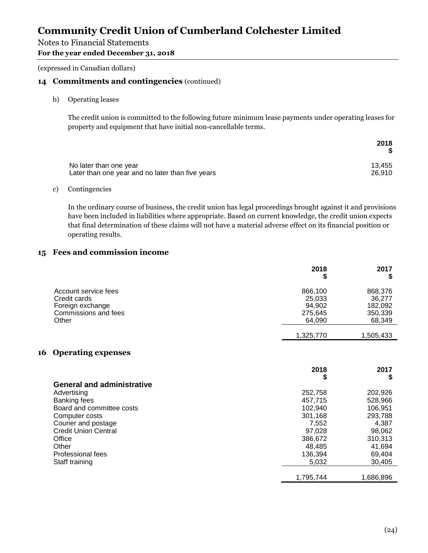### Notes to Financial Statements

**For the year ended December 31, 2018** 

(expressed in Canadian dollars)

### **14 Commitments and contingencies** (continued)

b) Operating leases

The credit union is committed to the following future minimum lease payments under operating leases for property and equipment that have initial non-cancellable terms.

|                                                  | 2018   |
|--------------------------------------------------|--------|
| No later than one year                           | 13.455 |
| Later than one year and no later than five years | 26.910 |

#### c) Contingencies

In the ordinary course of business, the credit union has legal proceedings brought against it and provisions have been included in liabilities where appropriate. Based on current knowledge, the credit union expects that final determination of these claims will not have a material adverse effect on its financial position or operating results.

### **15 Fees and commission income**

|                                                                                           | 2018                                             | 2017<br>S                                         |
|-------------------------------------------------------------------------------------------|--------------------------------------------------|---------------------------------------------------|
| Account service fees<br>Credit cards<br>Foreign exchange<br>Commissions and fees<br>Other | 866,100<br>25,033<br>94,902<br>275,645<br>64,090 | 868,376<br>36.277<br>182,092<br>350,339<br>68,349 |
|                                                                                           | 1,325,770                                        | 1,505,433                                         |

### **16 Operating expenses**

|                                   | 2018      | 2017      |
|-----------------------------------|-----------|-----------|
| <b>General and administrative</b> |           | S         |
| Advertising                       | 252,758   | 202,926   |
| <b>Banking fees</b>               | 457.715   | 528,966   |
| Board and committee costs         | 102,940   | 106,951   |
| Computer costs                    | 301,168   | 293,788   |
| Courier and postage               | 7,552     | 4,387     |
| <b>Credit Union Central</b>       | 97,028    | 98,062    |
| Office                            | 386,672   | 310,313   |
| Other                             | 48.485    | 41,694    |
| Professional fees                 | 136,394   | 69,404    |
| Staff training                    | 5,032     | 30.405    |
|                                   |           |           |
|                                   | 1.795.744 | 1,686,896 |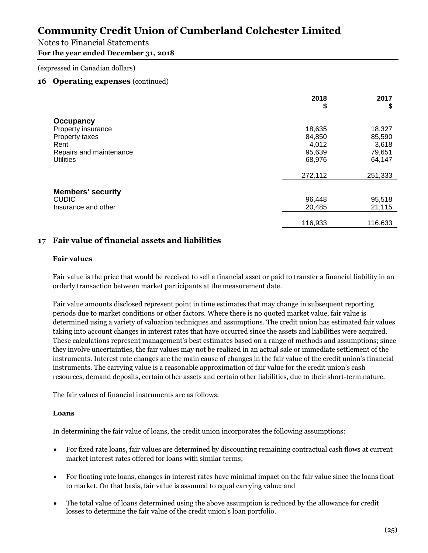### Notes to Financial Statements

### **For the year ended December 31, 2018**

(expressed in Canadian dollars)

### **16 Operating expenses** (continued)

|                          | 2018<br>\$ | 2017<br>\$ |
|--------------------------|------------|------------|
| <b>Occupancy</b>         |            |            |
| Property insurance       | 18,635     | 18,327     |
| Property taxes           | 84,850     | 85,590     |
| Rent                     | 4,012      | 3,618      |
| Repairs and maintenance  | 95,639     | 79,651     |
| <b>Utilities</b>         | 68,976     | 64,147     |
|                          | 272,112    | 251,333    |
|                          |            |            |
| <b>Members' security</b> |            |            |
| <b>CUDIC</b>             | 96,448     | 95,518     |
| Insurance and other      | 20,485     | 21,115     |
|                          |            |            |
|                          | 116,933    | 116,633    |

### **17 Fair value of financial assets and liabilities**

#### **Fair values**

Fair value is the price that would be received to sell a financial asset or paid to transfer a financial liability in an orderly transaction between market participants at the measurement date.

Fair value amounts disclosed represent point in time estimates that may change in subsequent reporting periods due to market conditions or other factors. Where there is no quoted market value, fair value is determined using a variety of valuation techniques and assumptions. The credit union has estimated fair values taking into account changes in interest rates that have occurred since the assets and liabilities were acquired. These calculations represent management's best estimates based on a range of methods and assumptions; since they involve uncertainties, the fair values may not be realized in an actual sale or immediate settlement of the instruments. Interest rate changes are the main cause of changes in the fair value of the credit union's financial instruments. The carrying value is a reasonable approximation of fair value for the credit union's cash resources, demand deposits, certain other assets and certain other liabilities, due to their short-term nature.

The fair values of financial instruments are as follows:

### **Loans**

In determining the fair value of loans, the credit union incorporates the following assumptions:

- For fixed rate loans, fair values are determined by discounting remaining contractual cash flows at current market interest rates offered for loans with similar terms;
- For floating rate loans, changes in interest rates have minimal impact on the fair value since the loans float to market. On that basis, fair value is assumed to equal carrying value; and
- The total value of loans determined using the above assumption is reduced by the allowance for credit losses to determine the fair value of the credit union's loan portfolio.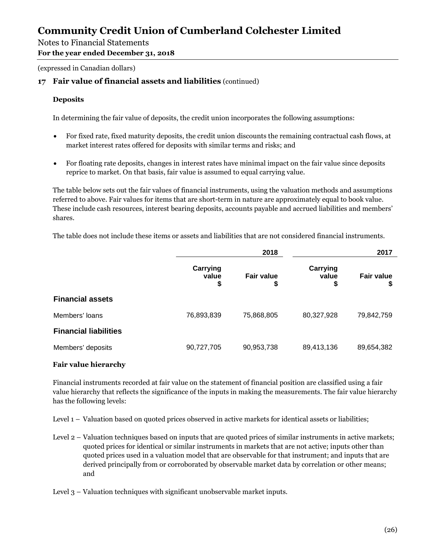### Notes to Financial Statements

**For the year ended December 31, 2018** 

(expressed in Canadian dollars)

### **17 Fair value of financial assets and liabilities** (continued)

### **Deposits**

In determining the fair value of deposits, the credit union incorporates the following assumptions:

- For fixed rate, fixed maturity deposits, the credit union discounts the remaining contractual cash flows, at market interest rates offered for deposits with similar terms and risks; and
- For floating rate deposits, changes in interest rates have minimal impact on the fair value since deposits reprice to market. On that basis, fair value is assumed to equal carrying value.

The table below sets out the fair values of financial instruments, using the valuation methods and assumptions referred to above. Fair values for items that are short-term in nature are approximately equal to book value. These include cash resources, interest bearing deposits, accounts payable and accrued liabilities and members' shares.

The table does not include these items or assets and liabilities that are not considered financial instruments.

|                              | 2018                           |                         | 2017                    |                        |  |
|------------------------------|--------------------------------|-------------------------|-------------------------|------------------------|--|
|                              | <b>Carrying</b><br>value<br>\$ | <b>Fair value</b><br>\$ | Carrying<br>value<br>\$ | <b>Fair value</b><br>S |  |
| <b>Financial assets</b>      |                                |                         |                         |                        |  |
| Members' loans               | 76,893,839                     | 75,868,805              | 80,327,928              | 79,842,759             |  |
| <b>Financial liabilities</b> |                                |                         |                         |                        |  |
| Members' deposits            | 90,727,705                     | 90,953,738              | 89,413,136              | 89,654,382             |  |

### **Fair value hierarchy**

Financial instruments recorded at fair value on the statement of financial position are classified using a fair value hierarchy that reflects the significance of the inputs in making the measurements. The fair value hierarchy has the following levels:

Level 1 – Valuation based on quoted prices observed in active markets for identical assets or liabilities;

Level 2 – Valuation techniques based on inputs that are quoted prices of similar instruments in active markets; quoted prices for identical or similar instruments in markets that are not active; inputs other than quoted prices used in a valuation model that are observable for that instrument; and inputs that are derived principally from or corroborated by observable market data by correlation or other means; and

Level 3 – Valuation techniques with significant unobservable market inputs.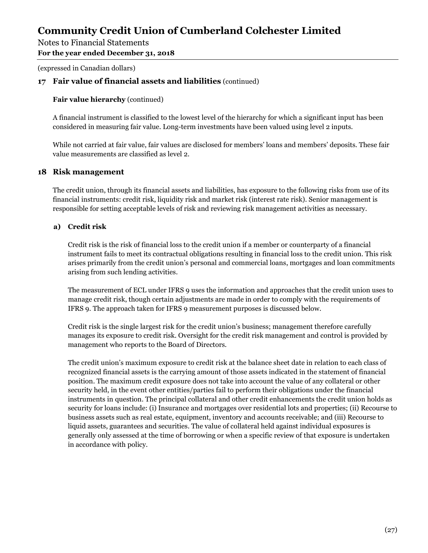# Notes to Financial Statements

**For the year ended December 31, 2018** 

(expressed in Canadian dollars)

### **17 Fair value of financial assets and liabilities** (continued)

### **Fair value hierarchy** (continued)

A financial instrument is classified to the lowest level of the hierarchy for which a significant input has been considered in measuring fair value. Long-term investments have been valued using level 2 inputs.

While not carried at fair value, fair values are disclosed for members' loans and members' deposits. These fair value measurements are classified as level 2.

### **18 Risk management**

The credit union, through its financial assets and liabilities, has exposure to the following risks from use of its financial instruments: credit risk, liquidity risk and market risk (interest rate risk). Senior management is responsible for setting acceptable levels of risk and reviewing risk management activities as necessary.

### **a) Credit risk**

Credit risk is the risk of financial loss to the credit union if a member or counterparty of a financial instrument fails to meet its contractual obligations resulting in financial loss to the credit union. This risk arises primarily from the credit union's personal and commercial loans, mortgages and loan commitments arising from such lending activities.

The measurement of ECL under IFRS 9 uses the information and approaches that the credit union uses to manage credit risk, though certain adjustments are made in order to comply with the requirements of IFRS 9. The approach taken for IFRS 9 measurement purposes is discussed below.

Credit risk is the single largest risk for the credit union's business; management therefore carefully manages its exposure to credit risk. Oversight for the credit risk management and control is provided by management who reports to the Board of Directors.

The credit union's maximum exposure to credit risk at the balance sheet date in relation to each class of recognized financial assets is the carrying amount of those assets indicated in the statement of financial position. The maximum credit exposure does not take into account the value of any collateral or other security held, in the event other entities/parties fail to perform their obligations under the financial instruments in question. The principal collateral and other credit enhancements the credit union holds as security for loans include: (i) Insurance and mortgages over residential lots and properties; (ii) Recourse to business assets such as real estate, equipment, inventory and accounts receivable; and (iii) Recourse to liquid assets, guarantees and securities. The value of collateral held against individual exposures is generally only assessed at the time of borrowing or when a specific review of that exposure is undertaken in accordance with policy.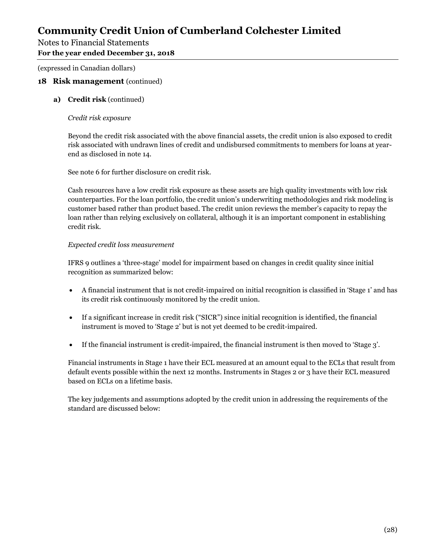### Notes to Financial Statements

### **For the year ended December 31, 2018**

(expressed in Canadian dollars)

### **18 Risk management** (continued)

**a) Credit risk** (continued)

### *Credit risk exposure*

Beyond the credit risk associated with the above financial assets, the credit union is also exposed to credit risk associated with undrawn lines of credit and undisbursed commitments to members for loans at yearend as disclosed in note 14.

See note 6 for further disclosure on credit risk.

Cash resources have a low credit risk exposure as these assets are high quality investments with low risk counterparties. For the loan portfolio, the credit union's underwriting methodologies and risk modeling is customer based rather than product based. The credit union reviews the member's capacity to repay the loan rather than relying exclusively on collateral, although it is an important component in establishing credit risk.

### *Expected credit loss measurement*

IFRS 9 outlines a 'three-stage' model for impairment based on changes in credit quality since initial recognition as summarized below:

- A financial instrument that is not credit-impaired on initial recognition is classified in 'Stage 1' and has its credit risk continuously monitored by the credit union.
- If a significant increase in credit risk ("SICR") since initial recognition is identified, the financial instrument is moved to 'Stage 2' but is not yet deemed to be credit-impaired.
- If the financial instrument is credit-impaired, the financial instrument is then moved to 'Stage 3'.

Financial instruments in Stage 1 have their ECL measured at an amount equal to the ECLs that result from default events possible within the next 12 months. Instruments in Stages 2 or 3 have their ECL measured based on ECLs on a lifetime basis.

The key judgements and assumptions adopted by the credit union in addressing the requirements of the standard are discussed below: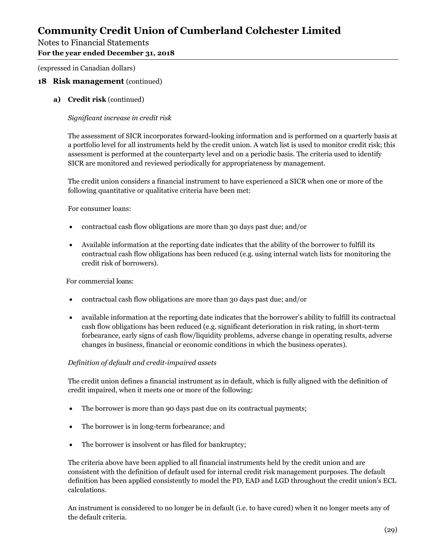### Notes to Financial Statements

### **For the year ended December 31, 2018**

(expressed in Canadian dollars)

### **18 Risk management** (continued)

**a) Credit risk** (continued)

### *Significant increase in credit risk*

The assessment of SICR incorporates forward-looking information and is performed on a quarterly basis at a portfolio level for all instruments held by the credit union. A watch list is used to monitor credit risk; this assessment is performed at the counterparty level and on a periodic basis. The criteria used to identify SICR are monitored and reviewed periodically for appropriateness by management.

The credit union considers a financial instrument to have experienced a SICR when one or more of the following quantitative or qualitative criteria have been met:

For consumer loans:

- contractual cash flow obligations are more than 30 days past due; and/or
- Available information at the reporting date indicates that the ability of the borrower to fulfill its contractual cash flow obligations has been reduced (e.g. using internal watch lists for monitoring the credit risk of borrowers).

For commercial loans:

- contractual cash flow obligations are more than 30 days past due; and/or
- available information at the reporting date indicates that the borrower's ability to fulfill its contractual cash flow obligations has been reduced (e.g. significant deterioration in risk rating, in short-term forbearance, early signs of cash flow/liquidity problems, adverse change in operating results, adverse changes in business, financial or economic conditions in which the business operates).

### *Definition of default and credit-impaired assets*

The credit union defines a financial instrument as in default, which is fully aligned with the definition of credit impaired, when it meets one or more of the following:

- The borrower is more than 90 days past due on its contractual payments;
- The borrower is in long-term forbearance; and
- The borrower is insolvent or has filed for bankruptcy;

The criteria above have been applied to all financial instruments held by the credit union and are consistent with the definition of default used for internal credit risk management purposes. The default definition has been applied consistently to model the PD, EAD and LGD throughout the credit union's ECL calculations.

An instrument is considered to no longer be in default (i.e. to have cured) when it no longer meets any of the default criteria.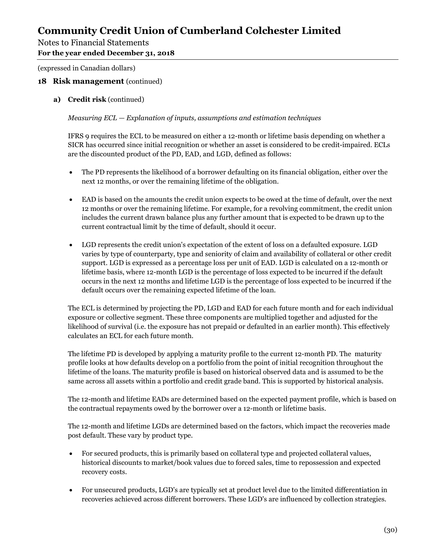### Notes to Financial Statements

### **For the year ended December 31, 2018**

(expressed in Canadian dollars)

### **18 Risk management** (continued)

**a) Credit risk** (continued)

### *Measuring ECL — Explanation of inputs, assumptions and estimation techniques*

IFRS 9 requires the ECL to be measured on either a 12-month or lifetime basis depending on whether a SICR has occurred since initial recognition or whether an asset is considered to be credit-impaired. ECLs are the discounted product of the PD, EAD, and LGD, defined as follows:

- The PD represents the likelihood of a borrower defaulting on its financial obligation, either over the next 12 months, or over the remaining lifetime of the obligation.
- EAD is based on the amounts the credit union expects to be owed at the time of default, over the next 12 months or over the remaining lifetime. For example, for a revolving commitment, the credit union includes the current drawn balance plus any further amount that is expected to be drawn up to the current contractual limit by the time of default, should it occur.
- LGD represents the credit union's expectation of the extent of loss on a defaulted exposure. LGD varies by type of counterparty, type and seniority of claim and availability of collateral or other credit support. LGD is expressed as a percentage loss per unit of EAD. LGD is calculated on a 12-month or lifetime basis, where 12-month LGD is the percentage of loss expected to be incurred if the default occurs in the next 12 months and lifetime LGD is the percentage of loss expected to be incurred if the default occurs over the remaining expected lifetime of the loan.

The ECL is determined by projecting the PD, LGD and EAD for each future month and for each individual exposure or collective segment. These three components are multiplied together and adjusted for the likelihood of survival (i.e. the exposure has not prepaid or defaulted in an earlier month). This effectively calculates an ECL for each future month.

The lifetime PD is developed by applying a maturity profile to the current 12-month PD. The maturity profile looks at how defaults develop on a portfolio from the point of initial recognition throughout the lifetime of the loans. The maturity profile is based on historical observed data and is assumed to be the same across all assets within a portfolio and credit grade band. This is supported by historical analysis.

The 12-month and lifetime EADs are determined based on the expected payment profile, which is based on the contractual repayments owed by the borrower over a 12-month or lifetime basis.

The 12-month and lifetime LGDs are determined based on the factors, which impact the recoveries made post default. These vary by product type.

- For secured products, this is primarily based on collateral type and projected collateral values, historical discounts to market/book values due to forced sales, time to repossession and expected recovery costs.
- For unsecured products, LGD's are typically set at product level due to the limited differentiation in recoveries achieved across different borrowers. These LGD's are influenced by collection strategies.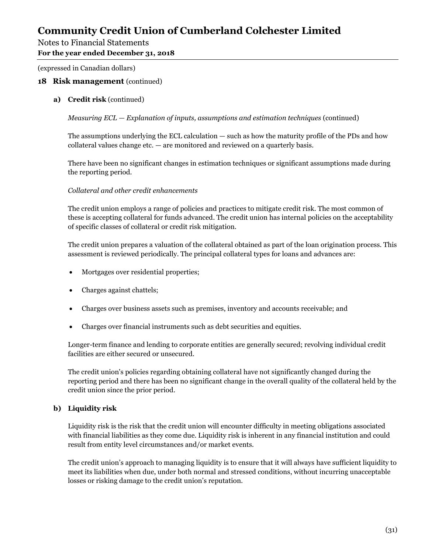### Notes to Financial Statements

### **For the year ended December 31, 2018**

(expressed in Canadian dollars)

### **18 Risk management** (continued)

**a) Credit risk** (continued)

*Measuring ECL — Explanation of inputs, assumptions and estimation techniques (continued)* 

The assumptions underlying the ECL calculation — such as how the maturity profile of the PDs and how collateral values change etc. — are monitored and reviewed on a quarterly basis.

There have been no significant changes in estimation techniques or significant assumptions made during the reporting period.

### *Collateral and other credit enhancements*

The credit union employs a range of policies and practices to mitigate credit risk. The most common of these is accepting collateral for funds advanced. The credit union has internal policies on the acceptability of specific classes of collateral or credit risk mitigation.

The credit union prepares a valuation of the collateral obtained as part of the loan origination process. This assessment is reviewed periodically. The principal collateral types for loans and advances are:

- Mortgages over residential properties;
- Charges against chattels;
- Charges over business assets such as premises, inventory and accounts receivable; and
- Charges over financial instruments such as debt securities and equities.

Longer-term finance and lending to corporate entities are generally secured; revolving individual credit facilities are either secured or unsecured.

The credit union's policies regarding obtaining collateral have not significantly changed during the reporting period and there has been no significant change in the overall quality of the collateral held by the credit union since the prior period.

### **b) Liquidity risk**

Liquidity risk is the risk that the credit union will encounter difficulty in meeting obligations associated with financial liabilities as they come due. Liquidity risk is inherent in any financial institution and could result from entity level circumstances and/or market events.

The credit union's approach to managing liquidity is to ensure that it will always have sufficient liquidity to meet its liabilities when due, under both normal and stressed conditions, without incurring unacceptable losses or risking damage to the credit union's reputation.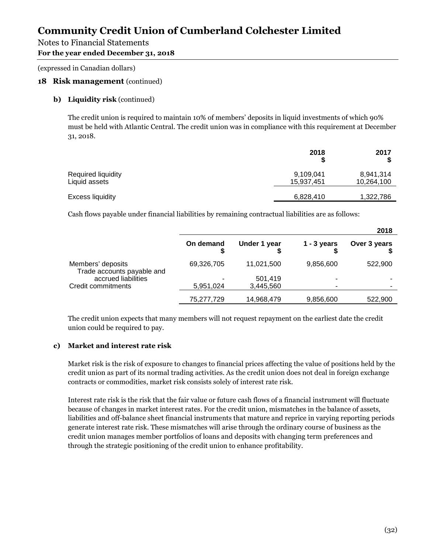### Notes to Financial Statements

### **For the year ended December 31, 2018**

(expressed in Canadian dollars)

### **18 Risk management** (continued)

### **b) Liquidity risk** (continued)

The credit union is required to maintain 10% of members' deposits in liquid investments of which 90% must be held with Atlantic Central. The credit union was in compliance with this requirement at December 31, 2018.

| 2018                    | 2017                    |
|-------------------------|-------------------------|
| 9,109,041<br>15,937,451 | 8,941,314<br>10,264,100 |
| 6,828,410               | 1,322,786               |
|                         |                         |

Cash flows payable under financial liabilities by remaining contractual liabilities are as follows:

|                                                 |            |              |               | 2018         |
|-------------------------------------------------|------------|--------------|---------------|--------------|
|                                                 | On demand  | Under 1 year | $1 - 3$ years | Over 3 years |
| Members' deposits<br>Trade accounts payable and | 69,326,705 | 11,021,500   | 9,856,600     | 522,900      |
| accrued liabilities                             |            | 501,419      | -             |              |
| Credit commitments                              | 5,951,024  | 3,445,560    |               | ۰            |
|                                                 | 75,277,729 | 14,968,479   | 9,856,600     | 522,900      |

The credit union expects that many members will not request repayment on the earliest date the credit union could be required to pay.

### **c) Market and interest rate risk**

Market risk is the risk of exposure to changes to financial prices affecting the value of positions held by the credit union as part of its normal trading activities. As the credit union does not deal in foreign exchange contracts or commodities, market risk consists solely of interest rate risk.

Interest rate risk is the risk that the fair value or future cash flows of a financial instrument will fluctuate because of changes in market interest rates. For the credit union, mismatches in the balance of assets, liabilities and off-balance sheet financial instruments that mature and reprice in varying reporting periods generate interest rate risk. These mismatches will arise through the ordinary course of business as the credit union manages member portfolios of loans and deposits with changing term preferences and through the strategic positioning of the credit union to enhance profitability.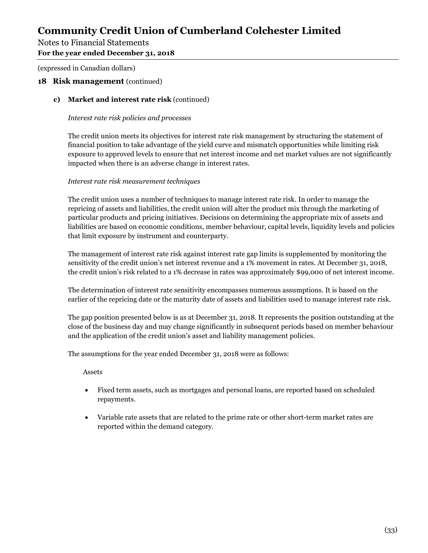### Notes to Financial Statements

### **For the year ended December 31, 2018**

(expressed in Canadian dollars)

### **18 Risk management** (continued)

**c) Market and interest rate risk** (continued)

#### *Interest rate risk policies and processes*

The credit union meets its objectives for interest rate risk management by structuring the statement of financial position to take advantage of the yield curve and mismatch opportunities while limiting risk exposure to approved levels to ensure that net interest income and net market values are not significantly impacted when there is an adverse change in interest rates.

#### *Interest rate risk measurement techniques*

The credit union uses a number of techniques to manage interest rate risk. In order to manage the repricing of assets and liabilities, the credit union will alter the product mix through the marketing of particular products and pricing initiatives. Decisions on determining the appropriate mix of assets and liabilities are based on economic conditions, member behaviour, capital levels, liquidity levels and policies that limit exposure by instrument and counterparty.

The management of interest rate risk against interest rate gap limits is supplemented by monitoring the sensitivity of the credit union's net interest revenue and a 1% movement in rates. At December 31, 2018, the credit union's risk related to a 1% decrease in rates was approximately \$99,000 of net interest income.

The determination of interest rate sensitivity encompasses numerous assumptions. It is based on the earlier of the repricing date or the maturity date of assets and liabilities used to manage interest rate risk.

The gap position presented below is as at December 31, 2018. It represents the position outstanding at the close of the business day and may change significantly in subsequent periods based on member behaviour and the application of the credit union's asset and liability management policies.

The assumptions for the year ended December 31, 2018 were as follows:

### Assets

- Fixed term assets, such as mortgages and personal loans, are reported based on scheduled repayments.
- Variable rate assets that are related to the prime rate or other short-term market rates are reported within the demand category.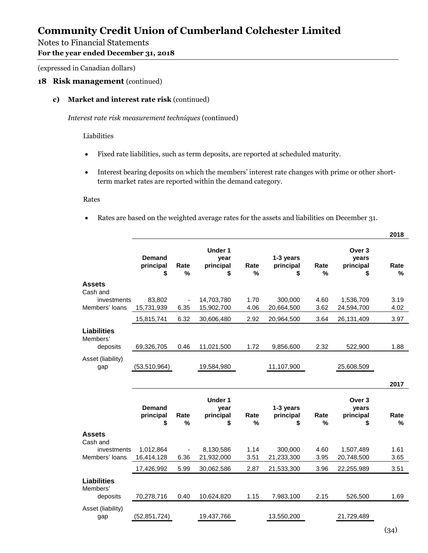### Notes to Financial Statements

### **For the year ended December 31, 2018**

(expressed in Canadian dollars)

### **18 Risk management** (continued)

**c) Market and interest rate risk** (continued)

*Interest rate risk measurement techniques* (continued)

Liabilities

- Fixed rate liabilities, such as term deposits, are reported at scheduled maturity.
- Interest bearing deposits on which the members' interest rate changes with prime or other shortterm market rates are reported within the demand category.

### Rates

Rates are based on the weighted average rates for the assets and liabilities on December 31.

|                                |                                  |           |                                           |              |                              |              |                                               | 2018         |
|--------------------------------|----------------------------------|-----------|-------------------------------------------|--------------|------------------------------|--------------|-----------------------------------------------|--------------|
|                                | <b>Demand</b><br>principal<br>\$ | Rate<br>% | Under 1<br>year<br>principal<br>\$        | Rate<br>%    | 1-3 years<br>principal<br>\$ | Rate<br>%    | Over <sub>3</sub><br>years<br>principal<br>\$ | Rate<br>$\%$ |
| <b>Assets</b><br>Cash and      |                                  |           |                                           |              |                              |              |                                               |              |
| investments<br>Members' loans  | 83,802<br>15,731,939             | 6.35      | 14,703,780<br>15,902,700                  | 1.70<br>4.06 | 300,000<br>20,664,500        | 4.60<br>3.62 | 1,536,709<br>24,594,700                       | 3.19<br>4.02 |
|                                | 15,815,741                       | 6.32      | 30,606,480                                | 2.92         | 20,964,500                   | 3.64         | 26,131,409                                    | 3.97         |
| <b>Liabilities</b><br>Members' |                                  |           |                                           |              |                              |              |                                               |              |
| deposits                       | 69,326,705                       | 0.46      | 11,021,500                                | 1.72         | 9,856,600                    | 2.32         | 522,900                                       | 1.88         |
| Asset (liability)<br>gap       | (53, 510, 964)                   |           | 19,584,980                                |              | 11,107,900                   |              | 25,608,509                                    |              |
|                                |                                  |           |                                           |              |                              |              |                                               |              |
|                                |                                  |           |                                           |              |                              |              |                                               | 2017         |
|                                | <b>Demand</b><br>principal<br>\$ | Rate<br>% | <b>Under 1</b><br>year<br>principal<br>\$ | Rate<br>%    | 1-3 years<br>principal<br>\$ | Rate<br>%    | Over <sub>3</sub><br>years<br>principal<br>\$ | Rate<br>$\%$ |
| <b>Assets</b><br>Cash and      |                                  |           |                                           |              |                              |              |                                               |              |
| investments<br>Members' loans  | 1,012,864<br>16,414,128          | 6.36      | 8,130,586<br>21,932,000                   | 1.14<br>3.51 | 300,000<br>21,233,300        | 4.60<br>3.95 | 1,507,489<br>20,748,500                       | 1.61<br>3.65 |
|                                | 17,426,992                       | 5.99      | 30,062,586                                | 2.87         | 21,533,300                   | 3.96         | 22,255,989                                    | 3.51         |
| <b>Liabilities</b><br>Members' |                                  |           |                                           |              |                              |              |                                               |              |
| deposits                       | 70,278,716                       | 0.40      | 10,624,820                                | 1.15         | 7,983,100                    | 2.15         | 526,500                                       | 1.69         |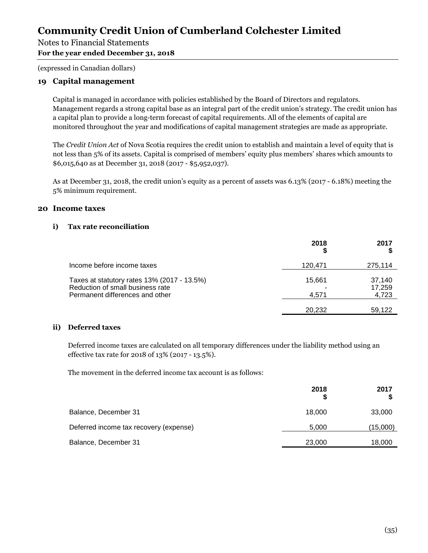### Notes to Financial Statements **For the year ended December 31, 2018**

(expressed in Canadian dollars)

### **19 Capital management**

Capital is managed in accordance with policies established by the Board of Directors and regulators. Management regards a strong capital base as an integral part of the credit union's strategy. The credit union has a capital plan to provide a long-term forecast of capital requirements. All of the elements of capital are monitored throughout the year and modifications of capital management strategies are made as appropriate.

The *Credit Union Act* of Nova Scotia requires the credit union to establish and maintain a level of equity that is not less than 5% of its assets. Capital is comprised of members' equity plus members' shares which amounts to \$6,015,640 as at December 31, 2018 (2017 - \$5,952,037).

As at December 31, 2018, the credit union's equity as a percent of assets was 6.13% (2017 - 6.18%) meeting the 5% minimum requirement.

#### **20 Income taxes**

#### **i) Tax rate reconciliation**

|                                                                                                                    | 2018            | 2017                      |
|--------------------------------------------------------------------------------------------------------------------|-----------------|---------------------------|
| Income before income taxes                                                                                         | 120.471         | 275,114                   |
| Taxes at statutory rates 13% (2017 - 13.5%)<br>Reduction of small business rate<br>Permanent differences and other | 15.661<br>4,571 | 37,140<br>17,259<br>4,723 |
|                                                                                                                    | 20,232          | 59,122                    |

#### **ii) Deferred taxes**

Deferred income taxes are calculated on all temporary differences under the liability method using an effective tax rate for 2018 of 13% (2017 - 13.5%).

The movement in the deferred income tax account is as follows:

|                                        | 2018   | 2017     |
|----------------------------------------|--------|----------|
| Balance, December 31                   | 18,000 | 33,000   |
| Deferred income tax recovery (expense) | 5,000  | (15,000) |
| Balance, December 31                   | 23,000 | 18,000   |